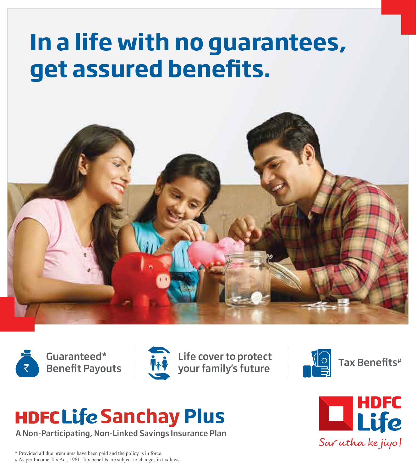# **In a life with no guarantees, get assured benets.**









# **HDFCLife Sanchay Plus**

A Non-Participating, Non-Linked Savings Insurance Plan



\* Provided all due premiums have been paid and the policy is in force. # As per Income Tax Act, 1961. Tax benefits are subject to changes in tax laws.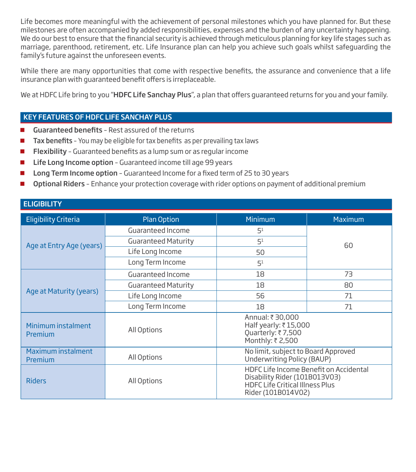Life becomes more meaningful with the achievement of personal milestones which you have planned for. But these milestones are often accompanied by added responsibilities, expenses and the burden of any uncertainty happening. We do our best to ensure that the financial security is achieved through meticulous planning for key life stages such as marriage, parenthood, retirement, etc. Life Insurance plan can help you achieve such goals whilst safeguarding the family's future against the unforeseen events.

While there are many opportunities that come with respective benefits, the assurance and convenience that a life insurance plan with quaranteed benefit offers is irreplaceable.

We at HDFC Life bring to you "HDFC Life Sanchay Plus", a plan that offers guaranteed returns for you and your family.

# KEY FEATURES OF HDFC LIFE SANCHAY PLUS

ELIGIBILITY

- **Guaranteed benefits** Rest assured of the returns
- $\blacksquare$  Tax benefits You may be eligible for tax benefits as per prevailing tax laws
- $\blacksquare$  Flexibility Guaranteed benefits as a lump sum or as regular income
- Life Long Income option Guaranteed income till age 99 years
- **Long Term Income option** Guaranteed Income for a fixed term of 25 to 30 years
- Optional Riders Enhance your protection coverage with rider options on payment of additional premium

| <b>CLIVIDILI I</b>            |                            |                                                                                               |                                        |  |
|-------------------------------|----------------------------|-----------------------------------------------------------------------------------------------|----------------------------------------|--|
| <b>Eligibility Criteria</b>   | <b>Plan Option</b>         | <b>Minimum</b>                                                                                | Maximum                                |  |
|                               | Guaranteed Income          | 5 <sup>1</sup>                                                                                |                                        |  |
| Age at Entry Age (years)      | <b>Guaranteed Maturity</b> | 5 <sup>1</sup>                                                                                | 60                                     |  |
|                               | Life Long Income           | 50                                                                                            |                                        |  |
|                               | Long Term Income           | 5 <sup>1</sup>                                                                                |                                        |  |
|                               | Guaranteed Income          | 18                                                                                            | 73                                     |  |
|                               | <b>Guaranteed Maturity</b> | 18                                                                                            | 80                                     |  |
| Age at Maturity (years)       | Life Long Income           | 56                                                                                            | 71                                     |  |
|                               | Long Term Income           | 18                                                                                            | 71                                     |  |
| Minimum instalment<br>Premium | All Options                | Annual: ₹ 30,000<br>Half yearly: ₹15,000<br>Quarterly: ₹7,500<br>Monthly: ₹ 2,500             |                                        |  |
| Maximum instalment<br>Premium | All Options                | No limit, subject to Board Approved<br>Underwriting Policy (BAUP)                             |                                        |  |
| <b>Riders</b>                 | All Options                | Disability Rider (101B013V03)<br><b>HDFC Life Critical Illness Plus</b><br>Rider (101B014V02) | HDFC Life Income Benefit on Accidental |  |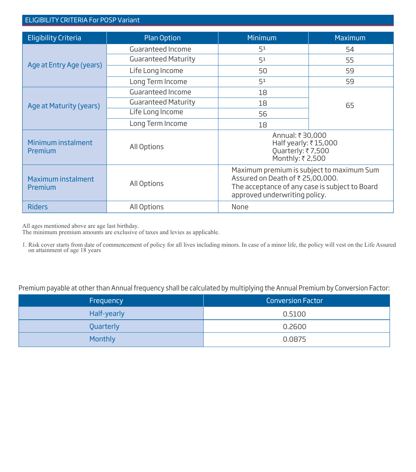#### ELIGIBILITY CRITERIA For POSP Variant

| <b>Eligibility Criteria</b>   | <b>Plan Option</b>         | <b>Minimum</b>                                                                                                                                                   | Maximum |
|-------------------------------|----------------------------|------------------------------------------------------------------------------------------------------------------------------------------------------------------|---------|
|                               | Guaranteed Income          | 51                                                                                                                                                               | 54      |
|                               | <b>Guaranteed Maturity</b> | 5 <sup>1</sup>                                                                                                                                                   | 55      |
| Age at Entry Age (years)      | Life Long Income           | 50                                                                                                                                                               | 59      |
|                               | Long Term Income           | 51                                                                                                                                                               | 59      |
|                               | Guaranteed Income          | 18                                                                                                                                                               |         |
| Age at Maturity (years)       | <b>Guaranteed Maturity</b> | 18                                                                                                                                                               | 65      |
|                               | Life Long Income           | 56                                                                                                                                                               |         |
|                               | Long Term Income           | 18                                                                                                                                                               |         |
| Minimum instalment<br>Premium | All Options                | Annual: ₹30,000<br>Half yearly: ₹15,000<br>Quarterly: ₹7,500<br>Monthly: ₹2,500                                                                                  |         |
| Maximum instalment<br>Premium | All Options                | Maximum premium is subject to maximum Sum<br>Assured on Death of ₹ 25,00,000.<br>The acceptance of any case is subject to Board<br>approved underwriting policy. |         |
| <b>Riders</b>                 | All Options                | None                                                                                                                                                             |         |

All ages mentioned above are age last birthday.

The minimum premium amounts are exclusive of taxes and levies as applicable.

1. Risk cover starts from date of commencement of policy for all lives including minors. In case of a minor life, the policy will vest on the Life Assured on attainment of age 18 years

Premium payable at other than Annual frequency shall be calculated by multiplying the Annual Premium by Conversion Factor:

| Frequency      | <b>Conversion Factor</b> |
|----------------|--------------------------|
| Half-yearly    | 0.5100                   |
| Quarterly      | 0.2600                   |
| <b>Monthly</b> | 0.0875                   |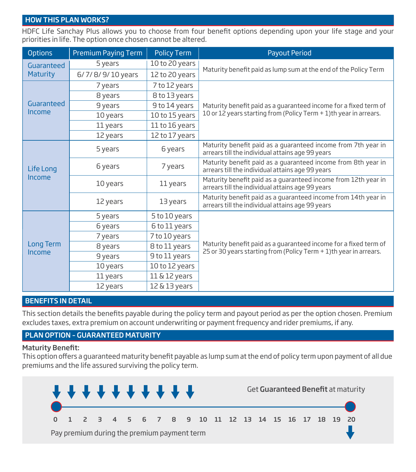#### HOW THIS PLAN WORKS?

HDFC Life Sanchay Plus allows you to choose from four benefit options depending upon your life stage and your priorities in life. The option once chosen cannot be altered.

| <b>Options</b>   | <b>Premium Paying Term</b> | <b>Policy Term</b> | <b>Payout Period</b>                                                                                               |  |  |
|------------------|----------------------------|--------------------|--------------------------------------------------------------------------------------------------------------------|--|--|
| Guaranteed       | 5 years                    | 10 to 20 years     |                                                                                                                    |  |  |
| <b>Maturity</b>  | 6/7/8/9/10 years           | 12 to 20 years     | Maturity benefit paid as lump sum at the end of the Policy Term                                                    |  |  |
|                  | 7 years                    | 7 to 12 years      |                                                                                                                    |  |  |
|                  | 8 years                    | 8 to 13 years      |                                                                                                                    |  |  |
| Guaranteed       | 9 years                    | 9 to 14 years      | Maturity benefit paid as a quaranteed income for a fixed term of                                                   |  |  |
| Income           | 10 years                   | 10 to 15 years     | 10 or 12 years starting from (Policy Term + 1)th year in arrears.                                                  |  |  |
|                  | 11 years                   | 11 to 16 years     |                                                                                                                    |  |  |
|                  | 12 years                   | 12 to 17 years     |                                                                                                                    |  |  |
|                  | 5 years                    | 6 years            | Maturity benefit paid as a guaranteed income from 7th year in<br>arrears till the individual attains age 99 years  |  |  |
| Life Long        | 6 years                    | 7 years            | Maturity benefit paid as a quaranteed income from 8th year in<br>arrears till the individual attains age 99 years  |  |  |
| Income           | 10 years                   | 11 years           | Maturity benefit paid as a quaranteed income from 12th year in<br>arrears till the individual attains age 99 years |  |  |
|                  | 12 years                   | 13 years           | Maturity benefit paid as a guaranteed income from 14th year in<br>arrears till the individual attains age 99 years |  |  |
|                  | 5 years                    | 5 to 10 years      |                                                                                                                    |  |  |
|                  | 6 years                    | 6 to 11 years      |                                                                                                                    |  |  |
|                  | 7 years                    | 7 to 10 years      |                                                                                                                    |  |  |
| <b>Long Term</b> | 8 years                    | 8 to 11 years      | Maturity benefit paid as a quaranteed income for a fixed term of                                                   |  |  |
| Income           | 9 years                    | 9 to 11 years      | 25 or 30 years starting from (Policy Term + 1)th year in arrears.                                                  |  |  |
|                  | 10 years                   | 10 to 12 years     |                                                                                                                    |  |  |
|                  | 11 years                   | 11 & 12 years      |                                                                                                                    |  |  |
|                  | 12 years                   | $12\& 13$ years    |                                                                                                                    |  |  |

#### BENEFITS IN DETAIL

This section details the benefits payable during the policy term and payout period as per the option chosen. Premium excludes taxes, extra premium on account underwriting or payment frequency and rider premiums, if any.

# PLAN OPTION – GUARANTEED MATURITY

#### **Maturity Benefit:**

This option offers a quaranteed maturity benefit payable as lump sum at the end of policy term upon payment of all due premiums and the life assured surviving the policy term.

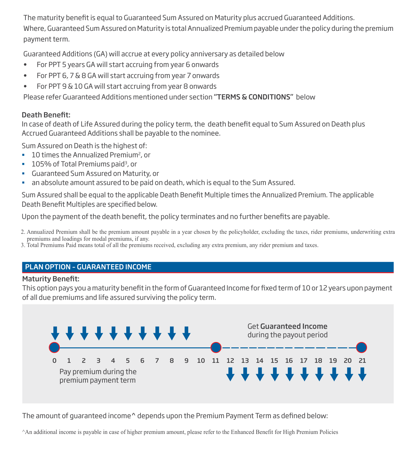The maturity benefit is equal to Guaranteed Sum Assured on Maturity plus accrued Guaranteed Additions. Where, Guaranteed Sum Assured on Maturity is total Annualized Premium payable under the policy during the premium payment term.

Guaranteed Additions (GA) will accrue at every policy anniversary as detailed below

- For PPT 5 years GA will start accruing from year 6 onwards
- For PPT 6, 7 & 8 GA will start accruing from year 7 onwards
- For PPT 9 & 10 GA will start accruing from year 8 onwards

Please refer Guaranteed Additions mentioned under section "TERMS & CONDITIONS" below

# Death Benefit:

In case of death of Life Assured during the policy term, the death benefit equal to Sum Assured on Death plus Accrued Guaranteed Additions shall be payable to the nominee.

Sum Assured on Death is the highest of:

- 10 times the Annualized Premium<sup>2</sup>, or
- <sup>1</sup> 105% of Total Premiums paid<sup>3</sup>, or
- Guaranteed Sum Assured on Maturity, or
- an absolute amount assured to be paid on death, which is equal to the Sum Assured.

Sum Assured shall be equal to the applicable Death Benefit Multiple times the Annualized Premium. The applicable Death Benefit Multiples are specified below.

Upon the payment of the death benefit, the policy terminates and no further benefits are payable.

- 2. Annualized Premium shall be the premium amount payable in a year chosen by the policyholder, excluding the taxes, rider premiums, underwriting extra premiums and loadings for modal premiums, if any.
- 3. Total Premiums Paid means total of all the premiums received, excluding any extra premium, any rider premium and taxes.

# PLAN OPTION – GUARANTEED INCOME

# **Maturity Benefit:**

This option pays you a maturity benefit in the form of Guaranteed Income for fixed term of 10 or 12 years upon payment of all due premiums and life assured surviving the policy term.



The amount of quaranteed income<sup>n</sup> depends upon the Premium Payment Term as defined below:

^An additional income is payable in case of higher premium amount, please refer to the Enhanced Benefit for High Premium Policies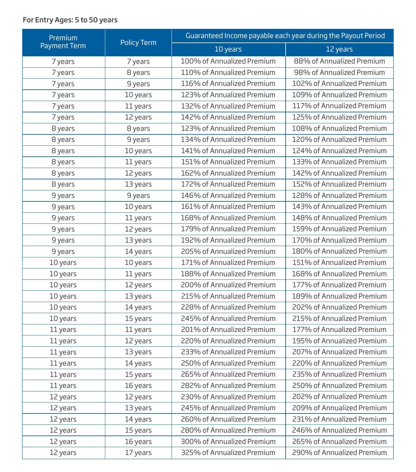# For Entry Ages: 5 to 50 years

| Premium             |                    | Guaranteed Income payable each year during the Payout Period |                            |  |  |
|---------------------|--------------------|--------------------------------------------------------------|----------------------------|--|--|
| <b>Payment Term</b> | <b>Policy Term</b> | 10 years                                                     | 12 years                   |  |  |
| 7 years             | 7 years            | 100% of Annualized Premium                                   | 88% of Annualized Premium  |  |  |
| 7 years             | 8 years            | 110% of Annualized Premium                                   | 98% of Annualized Premium  |  |  |
| 7 years             | 9 years            | 116% of Annualized Premium                                   | 102% of Annualized Premium |  |  |
| 7 years             | 10 years           | 123% of Annualized Premium                                   | 109% of Annualized Premium |  |  |
| 7 years             | 11 years           | 132% of Annualized Premium                                   | 117% of Annualized Premium |  |  |
| 7 years             | 12 years           | 142% of Annualized Premium                                   | 125% of Annualized Premium |  |  |
| 8 years             | 8 years            | 123% of Annualized Premium                                   | 108% of Annualized Premium |  |  |
| 8 years             | 9 years            | 134% of Annualized Premium                                   | 120% of Annualized Premium |  |  |
| 8 years             | 10 years           | 141% of Annualized Premium                                   | 124% of Annualized Premium |  |  |
| 8 years             | 11 years           | 151% of Annualized Premium                                   | 133% of Annualized Premium |  |  |
| 8 years             | 12 years           | 162% of Annualized Premium                                   | 142% of Annualized Premium |  |  |
| 8 years             | 13 years           | 172% of Annualized Premium                                   | 152% of Annualized Premium |  |  |
| 9 years             | 9 years            | 146% of Annualized Premium                                   | 128% of Annualized Premium |  |  |
| 9 years             | 10 years           | 161% of Annualized Premium                                   | 143% of Annualized Premium |  |  |
| 9 years             | 11 years           | 168% of Annualized Premium                                   | 148% of Annualized Premium |  |  |
| 9 years             | 12 years           | 179% of Annualized Premium                                   | 159% of Annualized Premium |  |  |
| 9 years             | 13 years           | 192% of Annualized Premium                                   | 170% of Annualized Premium |  |  |
| 9 years             | 14 years           | 205% of Annualized Premium                                   | 180% of Annualized Premium |  |  |
| 10 years            | 10 years           | 171% of Annualized Premium                                   | 151% of Annualized Premium |  |  |
| 10 years            | 11 years           | 188% of Annualized Premium                                   | 168% of Annualized Premium |  |  |
| 10 years            | 12 years           | 200% of Annualized Premium                                   | 177% of Annualized Premium |  |  |
| 10 years            | 13 years           | 215% of Annualized Premium                                   | 189% of Annualized Premium |  |  |
| 10 years            | 14 years           | 228% of Annualized Premium                                   | 202% of Annualized Premium |  |  |
| 10 years            | 15 years           | 245% of Annualized Premium                                   | 215% of Annualized Premium |  |  |
| 11 years            | 11 years           | 201% of Annualized Premium                                   | 177% of Annualized Premium |  |  |
| 11 years            | 12 years           | 220% of Annualized Premium                                   | 195% of Annualized Premium |  |  |
| 11 years            | 13 years           | 233% of Annualized Premium                                   | 207% of Annualized Premium |  |  |
| 11 years            | 14 years           | 250% of Annualized Premium                                   | 220% of Annualized Premium |  |  |
| 11 years            | 15 years           | 265% of Annualized Premium                                   | 235% of Annualized Premium |  |  |
| 11 years            | 16 years           | 282% of Annualized Premium                                   | 250% of Annualized Premium |  |  |
| 12 years            | 12 years           | 230% of Annualized Premium                                   | 202% of Annualized Premium |  |  |
| 12 years            | 13 years           | 245% of Annualized Premium                                   | 209% of Annualized Premium |  |  |
| 12 years            | 14 years           | 260% of Annualized Premium                                   | 231% of Annualized Premium |  |  |
| 12 years            | 15 years           | 280% of Annualized Premium                                   | 246% of Annualized Premium |  |  |
| 12 years            | 16 years           | 300% of Annualized Premium                                   | 265% of Annualized Premium |  |  |
| 12 years            | 17 years           | 325% of Annualized Premium                                   | 290% of Annualized Premium |  |  |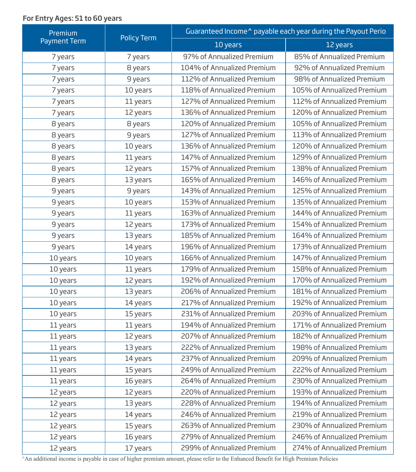# For Entry Ages: 51 to 60 years

| Premium             | <b>Policy Term</b> | Guaranteed Income <sup>^</sup> payable each year during the Payout Perio |                            |  |  |
|---------------------|--------------------|--------------------------------------------------------------------------|----------------------------|--|--|
| <b>Payment Term</b> |                    | 10 years                                                                 | 12 years                   |  |  |
| 7 years             | 7 years            | 97% of Annualized Premium                                                | 85% of Annualized Premium  |  |  |
| 7 years             | 8 years            | 104% of Annualized Premium                                               | 92% of Annualized Premium  |  |  |
| 7 years             | 9 years            | 112% of Annualized Premium                                               | 98% of Annualized Premium  |  |  |
| 7 years             | 10 years           | 118% of Annualized Premium                                               | 105% of Annualized Premium |  |  |
| 7 years             | 11 years           | 127% of Annualized Premium                                               | 112% of Annualized Premium |  |  |
| 7 years             | 12 years           | 136% of Annualized Premium                                               | 120% of Annualized Premium |  |  |
| 8 years             | 8 years            | 120% of Annualized Premium                                               | 105% of Annualized Premium |  |  |
| 8 years             | 9 years            | 127% of Annualized Premium                                               | 113% of Annualized Premium |  |  |
| 8 years             | 10 years           | 136% of Annualized Premium                                               | 120% of Annualized Premium |  |  |
| 8 years             | 11 years           | 147% of Annualized Premium                                               | 129% of Annualized Premium |  |  |
| 8 years             | 12 years           | 157% of Annualized Premium                                               | 138% of Annualized Premium |  |  |
| 8 years             | 13 years           | 165% of Annualized Premium                                               | 146% of Annualized Premium |  |  |
| 9 years             | 9 years            | 143% of Annualized Premium                                               | 125% of Annualized Premium |  |  |
| 9 years             | 10 years           | 153% of Annualized Premium                                               | 135% of Annualized Premium |  |  |
| 9 years             | 11 years           | 163% of Annualized Premium                                               | 144% of Annualized Premium |  |  |
| 9 years             | 12 years           | 173% of Annualized Premium                                               | 154% of Annualized Premium |  |  |
| 9 years             | 13 years           | 185% of Annualized Premium                                               | 164% of Annualized Premium |  |  |
| 9 years             | 14 years           | 196% of Annualized Premium                                               | 173% of Annualized Premium |  |  |
| 10 years            | 10 years           | 166% of Annualized Premium                                               | 147% of Annualized Premium |  |  |
| 10 years            | 11 years           | 179% of Annualized Premium                                               | 158% of Annualized Premium |  |  |
| 10 years            | 12 years           | 192% of Annualized Premium                                               | 170% of Annualized Premium |  |  |
| 10 years            | 13 years           | 206% of Annualized Premium                                               | 181% of Annualized Premium |  |  |
| 10 years            | 14 years           | 217% of Annualized Premium                                               | 192% of Annualized Premium |  |  |
| 10 years            | 15 years           | 231% of Annualized Premium                                               | 203% of Annualized Premium |  |  |
| 11 years            | 11 years           | 194% of Annualized Premium                                               | 171% of Annualized Premium |  |  |
| 11 years            | 12 years           | 207% of Annualized Premium                                               | 182% of Annualized Premium |  |  |
| 11 years            | 13 years           | 222% of Annualized Premium                                               | 198% of Annualized Premium |  |  |
| 11 years            | 14 years           | 237% of Annualized Premium                                               | 209% of Annualized Premium |  |  |
| 11 years            | 15 years           | 249% of Annualized Premium                                               | 222% of Annualized Premium |  |  |
| 11 years            | 16 years           | 264% of Annualized Premium                                               | 230% of Annualized Premium |  |  |
| 12 years            | 12 years           | 220% of Annualized Premium                                               | 193% of Annualized Premium |  |  |
| 12 years            | 13 years           | 228% of Annualized Premium                                               | 194% of Annualized Premium |  |  |
| 12 years            | 14 years           | 246% of Annualized Premium                                               | 219% of Annualized Premium |  |  |
| 12 years            | 15 years           | 263% of Annualized Premium                                               | 230% of Annualized Premium |  |  |
| 12 years            | 16 years           | 279% of Annualized Premium                                               | 246% of Annualized Premium |  |  |
| 12 years            | 17 years           | 299% of Annualized Premium                                               | 274% of Annualized Premium |  |  |

^An additional income is payable in case of higher premium amount, please refer to the Enhanced Benefit for High Premium Policies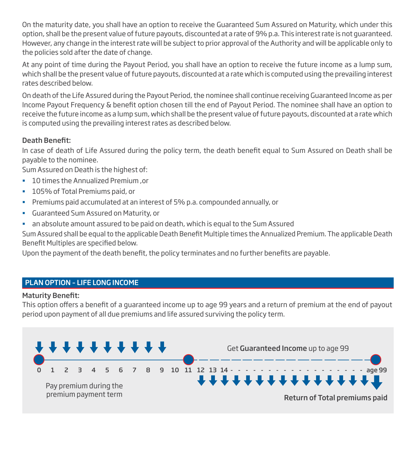On the maturity date, you shall have an option to receive the Guaranteed Sum Assured on Maturity, which under this option, shall be the present value of future payouts, discounted at a rate of 9% p.a. This interest rate is not guaranteed. However, any change in the interest rate will be subject to prior approval of the Authority and will be applicable only to the policies sold after the date of change.

At any point of time during the Payout Period, you shall have an option to receive the future income as a lump sum, which shall be the present value of future payouts, discounted at a rate which is computed using the prevailing interest rates described below.

On death of the Life Assured during the Payout Period, the nominee shall continue receiving Guaranteed Income as per Income Payout Frequency & benefit option chosen till the end of Payout Period. The nominee shall have an option to receive the future income as a lump sum, which shall be the present value of future payouts, discounted at a rate which is computed using the prevailing interest rates as described below.

# Death Benefit:

In case of death of Life Assured during the policy term, the death benefit equal to Sum Assured on Death shall be payable to the nominee.

Sum Assured on Death is the highest of:

- 10 times the Annualized Premium ,or
- <sup>1</sup> 105% of Total Premiums paid, or
- Premiums paid accumulated at an interest of 5% p.a. compounded annually, or
- Guaranteed Sum Assured on Maturity, or
- an absolute amount assured to be paid on death, which is equal to the Sum Assured

Sum Assured shall be equal to the applicable Death Benefit Multiple times the Annualized Premium. The applicable Death Benefit Multiples are specified below.

Upon the payment of the death benefit, the policy terminates and no further benefits are payable.

# PLAN OPTION – LIFE LONG INCOME

#### **Maturity Benefit:**

This option offers a benefit of a guaranteed income up to age 99 years and a return of premium at the end of payout period upon payment of all due premiums and life assured surviving the policy term.

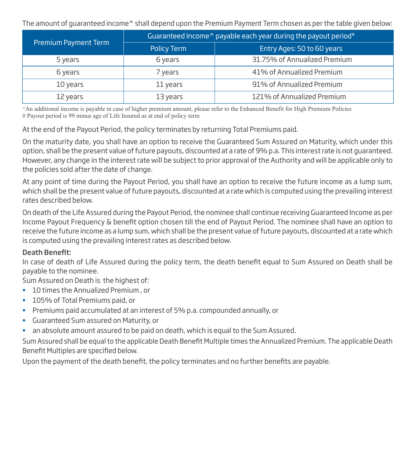The amount of guaranteed income^ shall depend upon the Premium Payment Term chosen as per the table given below:

|                      | Guaranteed Income <sup><math>\lambda</math></sup> payable each year during the payout period <sup>#</sup> |                              |  |  |
|----------------------|-----------------------------------------------------------------------------------------------------------|------------------------------|--|--|
| Premium Payment Term | Policy Term                                                                                               | Entry Ages: 50 to 60 years   |  |  |
| 5 years              | 6 years                                                                                                   | 31.75% of Annualized Premium |  |  |
| 6 years              | 7 years                                                                                                   | 41% of Annualized Premium    |  |  |
| 10 years             | 11 years                                                                                                  | 91% of Annualized Premium    |  |  |
| 12 years             | 13 years                                                                                                  | 121% of Annualized Premium   |  |  |

^An additional income is payable in case of higher premium amount, please refer to the Enhanced Benefit for High Premium Policies # Payout period is 99 minus age of Life Insured as at end of policy term

At the end of the Payout Period, the policy terminates by returning Total Premiums paid.

On the maturity date, you shall have an option to receive the Guaranteed Sum Assured on Maturity, which under this option, shall be the present value of future payouts, discounted at a rate of 9% p.a. This interest rate is not guaranteed. However, any change in the interest rate will be subject to prior approval of the Authority and will be applicable only to the policies sold after the date of change.

At any point of time during the Payout Period, you shall have an option to receive the future income as a lump sum, which shall be the present value of future payouts, discounted at a rate which is computed using the prevailing interest rates described below.

On death of the Life Assured during the Payout Period, the nominee shall continue receiving Guaranteed Income as per Income Payout Frequency & benefit option chosen till the end of Payout Period. The nominee shall have an option to receive the future income as a lump sum, which shall be the present value of future payouts, discounted at a rate which is computed using the prevailing interest rates as described below.

# Death Benefit:

In case of death of Life Assured during the policy term, the death benefit equal to Sum Assured on Death shall be payable to the nominee.

Sum Assured on Death is the highest of:

- **10 times the Annualized Premium, or**
- **105% of Total Premiums paid, or**
- Premiums paid accumulated at an interest of 5% p.a. compounded annually, or
- Guaranteed Sum assured on Maturity, or
- an absolute amount assured to be paid on death, which is equal to the Sum Assured.

Sum Assured shall be equal to the applicable Death Benefit Multiple times the Annualized Premium. The applicable Death Benefit Multiples are specified below.

Upon the payment of the death benefit, the policy terminates and no further benefits are payable.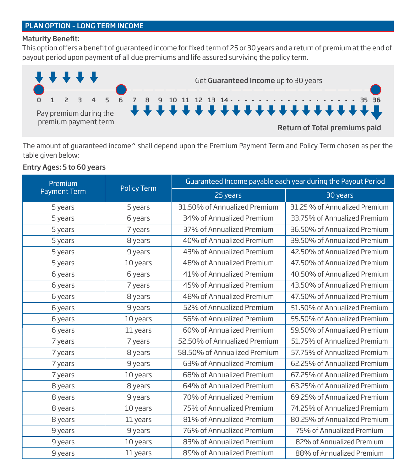# PLAN OPTION – LONG TERM INCOME

# **Maturity Benefit:**

This option offers a benefit of quaranteed income for fixed term of 25 or 30 years and a return of premium at the end of payout period upon payment of all due premiums and life assured surviving the policy term.



The amount of guaranteed income^ shall depend upon the Premium Payment Term and Policy Term chosen as per the table given below:

# Entry Ages: 5 to 60 years

| Premium             |                    | Guaranteed Income payable each year during the Payout Period |                               |  |  |
|---------------------|--------------------|--------------------------------------------------------------|-------------------------------|--|--|
| <b>Payment Term</b> | <b>Policy Term</b> | 25 years                                                     | 30 years                      |  |  |
| 5 years             | 5 years            | 31.50% of Annualized Premium                                 | 31.25 % of Annualized Premium |  |  |
| 5 years             | 6 years            | 34% of Annualized Premium                                    | 33.75% of Annualized Premium  |  |  |
| 5 years             | 7 years            | 37% of Annualized Premium                                    | 36.50% of Annualized Premium  |  |  |
| 5 years             | 8 years            | 40% of Annualized Premium                                    | 39.50% of Annualized Premium  |  |  |
| 5 years             | 9 years            | 43% of Annualized Premium                                    | 42.50% of Annualized Premium  |  |  |
| 5 years             | 10 years           | 48% of Annualized Premium                                    | 47.50% of Annualized Premium  |  |  |
| 6 years             | 6 years            | 41% of Annualized Premium                                    | 40.50% of Annualized Premium  |  |  |
| 6 years             | 7 years            | 45% of Annualized Premium                                    | 43.50% of Annualized Premium  |  |  |
| 6 years             | 8 years            | 48% of Annualized Premium                                    | 47.50% of Annualized Premium  |  |  |
| 6 years             | 9 years            | 52% of Annualized Premium                                    | 51.50% of Annualized Premium  |  |  |
| 6 years             | 10 years           | 56% of Annualized Premium                                    | 55.50% of Annualized Premium  |  |  |
| 6 years             | 11 years           | 60% of Annualized Premium                                    | 59.50% of Annualized Premium  |  |  |
| 7 years             | 7 years            | 52.50% of Annualized Premium                                 | 51.75% of Annualized Premium  |  |  |
| 7 years             | 8 years            | 58.50% of Annualized Premium                                 | 57.75% of Annualized Premium  |  |  |
| 7 years             | 9 years            | 63% of Annualized Premium                                    | 62.25% of Annualized Premium  |  |  |
| 7 years             | 10 years           | 68% of Annualized Premium                                    | 67.25% of Annualized Premium  |  |  |
| 8 years             | 8 years            | 64% of Annualized Premium                                    | 63.25% of Annualized Premium  |  |  |
| 8 years             | 9 years            | 70% of Annualized Premium                                    | 69.25% of Annualized Premium  |  |  |
| 8 years             | 10 years           | 75% of Annualized Premium                                    | 74.25% of Annualized Premium  |  |  |
| 8 years             | 11 years           | 81% of Annualized Premium                                    | 80.25% of Annualized Premium  |  |  |
| 9 years             | 9 years            | 76% of Annualized Premium                                    | 75% of Annualized Premium     |  |  |
| 9 years             | 10 years           | 83% of Annualized Premium                                    | 82% of Annualized Premium     |  |  |
| 9 years             | 11 years           | 89% of Annualized Premium                                    | 88% of Annualized Premium     |  |  |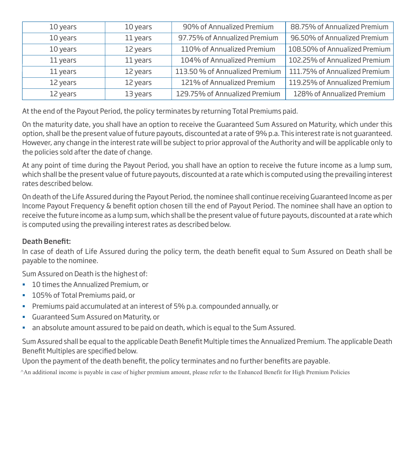| 10 years | 10 years | 90% of Annualized Premium      | 88.75% of Annualized Premium  |
|----------|----------|--------------------------------|-------------------------------|
| 10 years | 11 years | 97.75% of Annualized Premium   | 96.50% of Annualized Premium  |
| 10 years | 12 years | 110% of Annualized Premium     | 108.50% of Annualized Premium |
| 11 years | 11 years | 104% of Annualized Premium     | 102.25% of Annualized Premium |
| 11 years | 12 years | 113.50 % of Annualized Premium | 111.75% of Annualized Premium |
| 12 years | 12 years | 121% of Annualized Premium     | 119.25% of Annualized Premium |
| 12 years | 13 years | 129.75% of Annualized Premium  | 128% of Annualized Premium    |

At the end of the Payout Period, the policy terminates by returning Total Premiums paid.

On the maturity date, you shall have an option to receive the Guaranteed Sum Assured on Maturity, which under this option, shall be the present value of future payouts, discounted at a rate of 9% p.a. This interest rate is not guaranteed. However, any change in the interest rate will be subject to prior approval of the Authority and will be applicable only to the policies sold after the date of change.

At any point of time during the Payout Period, you shall have an option to receive the future income as a lump sum, which shall be the present value of future payouts, discounted at a rate which is computed using the prevailing interest rates described below.

On death of the Life Assured during the Payout Period, the nominee shall continue receiving Guaranteed Income as per Income Payout Frequency & benefit option chosen till the end of Payout Period. The nominee shall have an option to receive the future income as a lump sum, which shall be the present value of future payouts, discounted at a rate which is computed using the prevailing interest rates as described below.

# Death Benefit:

In case of death of Life Assured during the policy term, the death benefit equal to Sum Assured on Death shall be payable to the nominee.

Sum Assured on Death is the highest of:

- **10 times the Annualized Premium, or**
- **105% of Total Premiums paid, or**
- Premiums paid accumulated at an interest of 5% p.a. compounded annually, or
- Guaranteed Sum Assured on Maturity, or
- an absolute amount assured to be paid on death, which is equal to the Sum Assured.

Sum Assured shall be equal to the applicable Death Benefit Multiple times the Annualized Premium. The applicable Death Benefit Multiples are specified below.

Upon the payment of the death benefit, the policy terminates and no further benefits are payable.

^An additional income is payable in case of higher premium amount, please refer to the Enhanced Benefit for High Premium Policies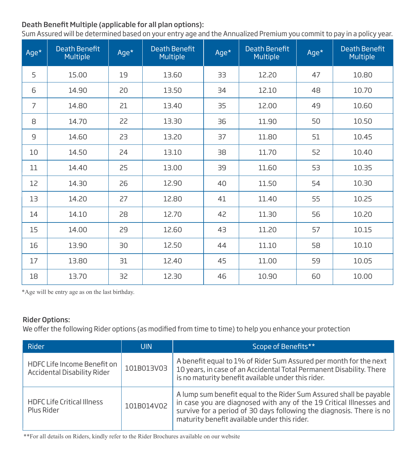# Death Benefit Multiple (applicable for all plan options):

Sum Assured will be determined based on your entry age and the Annualized Premium you commit to pay in a policy year.

| Age*           | <b>Death Benefit</b><br>Multiple | Age* | <b>Death Benefit</b><br><b>Multiple</b> | Age* | <b>Death Benefit</b><br>Multiple | Age* | <b>Death Benefit</b><br><b>Multiple</b> |
|----------------|----------------------------------|------|-----------------------------------------|------|----------------------------------|------|-----------------------------------------|
| 5              | 15.00                            | 19   | 13.60                                   | 33   | 12.20                            | 47   | 10.80                                   |
| 6              | 14.90                            | 20   | 13.50                                   | 34   | 12.10                            | 48   | 10.70                                   |
| $\overline{7}$ | 14.80                            | 21   | 13.40                                   | 35   | 12.00                            | 49   | 10.60                                   |
| 8              | 14.70                            | 22   | 13.30                                   | 36   | 11.90                            | 50   | 10.50                                   |
| $\overline{9}$ | 14.60                            | 23   | 13.20                                   | 37   | 11.80                            | 51   | 10.45                                   |
| 10             | 14.50                            | 24   | 13.10                                   | 38   | 11.70                            | 52   | 10.40                                   |
| 11             | 14.40                            | 25   | 13.00                                   | 39   | 11.60                            | 53   | 10.35                                   |
| 12             | 14.30                            | 26   | 12.90                                   | 40   | 11.50                            | 54   | 10.30                                   |
| 13             | 14.20                            | 27   | 12.80                                   | 41   | 11.40                            | 55   | 10.25                                   |
| 14             | 14.10                            | 28   | 12.70                                   | 42   | 11.30                            | 56   | 10.20                                   |
| 15             | 14.00                            | 29   | 12.60                                   | 43   | 11.20                            | 57   | 10.15                                   |
| 16             | 13.90                            | 30   | 12.50                                   | 44   | 11.10                            | 58   | 10.10                                   |
| 17             | 13.80                            | 31   | 12.40                                   | 45   | 11.00                            | 59   | 10.05                                   |
| 18             | 13.70                            | 32   | 12.30                                   | 46   | 10.90                            | 60   | 10.00                                   |

\*Age will be entry age as on the last birthday.

#### Rider Options:

We offer the following Rider options (as modified from time to time) to help you enhance your protection

| Rider                                                      | <b>UIN</b> | Scope of Benefits**                                                                                                                                                                                                                                               |
|------------------------------------------------------------|------------|-------------------------------------------------------------------------------------------------------------------------------------------------------------------------------------------------------------------------------------------------------------------|
| HDFC Life Income Benefit on<br>Accidental Disability Rider | 101B013V03 | A benefit equal to 1% of Rider Sum Assured per month for the next<br>10 years, in case of an Accidental Total Permanent Disability. There<br>is no maturity benefit available under this rider.                                                                   |
| <b>HDFC Life Critical Illness</b><br>Plus Rider            | 101B014V02 | A lump sum benefit equal to the Rider Sum Assured shall be payable<br>in case you are diagnosed with any of the 19 Critical Illnesses and<br>survive for a period of 30 days following the diagnosis. There is no<br>maturity benefit available under this rider. |

\*\*For all details on Riders, kindly refer to the Rider Brochures available on our website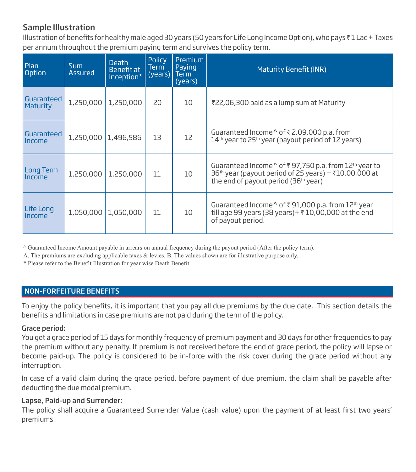# Sample Illustration

Illustration of benefits for healthy male aged 30 years (50 years for Life Long Income Option), who pays  $I$  Lac + Taxes per annum throughout the premium paying term and survives the policy term.

| Plan<br>Option                | <b>Sum</b><br><b>Assured</b> | <b>Death</b><br>Benefit at<br>Inception* | <b>Policy</b><br>Term<br>(years) | Premium<br>Paying<br><b>Term</b><br>(years) | Maturity Benefit (INR)                                                                                                                                                                      |
|-------------------------------|------------------------------|------------------------------------------|----------------------------------|---------------------------------------------|---------------------------------------------------------------------------------------------------------------------------------------------------------------------------------------------|
| Guaranteed<br><b>Maturity</b> | 1,250,000                    | 1,250,000                                | 20                               | 10                                          | ₹22,06,300 paid as a lump sum at Maturity                                                                                                                                                   |
| Guaranteed<br>Income          | 1,250,000                    | 1,496,586                                | 13                               | 12                                          | Guaranteed Income $\gamma$ of $\bar{\tau}$ 2,09,000 p.a. from<br>14 <sup>th</sup> year to 25 <sup>th</sup> year (payout period of 12 years)                                                 |
| Long Term<br>Income           | 1,250,000                    | 1,250,000                                | 11                               | 10                                          | Guaranteed Income <sup>^</sup> of ₹97,750 p.a. from 12 <sup>th</sup> year to<br>$36th$ year (payout period of 25 years) + ₹10,00,000 at<br>the end of payout period (36 <sup>th</sup> year) |
| Life Long<br>Income           | 1,050,000                    | 1,050,000                                | 11                               | 10                                          | Guaranteed Income $\wedge$ of ₹91,000 p.a. from 12 <sup>th</sup> year<br>till age 99 years (38 years) + ₹10,00,000 at the end<br>of payout period.                                          |

^ Guaranteed Income Amount payable in arrears on annual frequency during the payout period (After the policy term).

A. The premiums are excluding applicable taxes & levies. B. The values shown are for illustrative purpose only.

\* Please refer to the Benefit Illustration for year wise Death Benefit.

#### NON-FORFEITURE BENEFITS

To enjoy the policy benefits, it is important that you pay all due premiums by the due date. This section details the benefits and limitations in case premiums are not paid during the term of the policy.

#### Grace period:

You get a grace period of 15 days for monthly frequency of premium payment and 30 days for other frequencies to pay the premium without any penalty. If premium is not received before the end of grace period, the policy will lapse or become paid-up. The policy is considered to be in-force with the risk cover during the grace period without any interruption.

In case of a valid claim during the grace period, before payment of due premium, the claim shall be payable after deducting the due modal premium.

#### Lapse, Paid-up and Surrender:

The policy shall acquire a Guaranteed Surrender Value (cash value) upon the payment of at least first two years' premiums.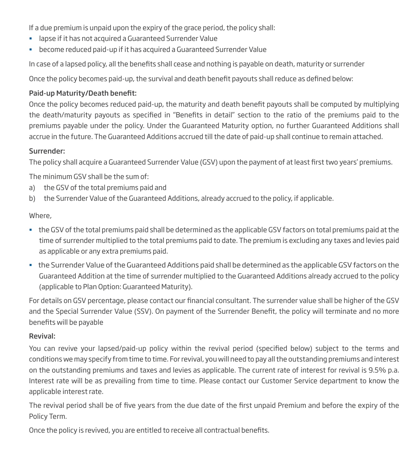If a due premium is unpaid upon the expiry of the grace period, the policy shall:

- lapse if it has not acquired a Guaranteed Surrender Value
- become reduced paid-up if it has acquired a Guaranteed Surrender Value

In case of a lapsed policy, all the benefits shall cease and nothing is payable on death, maturity or surrender

Once the policy becomes paid-up, the survival and death benefit payouts shall reduce as defined below:

# Paid-up Maturity/Death benefit:

Once the policy becomes reduced paid-up, the maturity and death benefit payouts shall be computed by multiplying the death/maturity payouts as specified in "Benefits in detail" section to the ratio of the premiums paid to the premiums payable under the policy. Under the Guaranteed Maturity option, no further Guaranteed Additions shall accrue in the future. The Guaranteed Additions accrued till the date of paid-up shall continue to remain attached.

#### Surrender:

The policy shall acquire a Guaranteed Surrender Value (GSV) upon the payment of at least first two years' premiums.

The minimum GSV shall be the sum of:

- a) the GSV of the total premiums paid and
- b) the Surrender Value of the Guaranteed Additions, already accrued to the policy, if applicable.

# Where,

- the GSV of the total premiums paid shall be determined as the applicable GSV factors on total premiums paid at the time of surrender multiplied to the total premiums paid to date. The premium is excluding any taxes and levies paid as applicable or any extra premiums paid.
- the Surrender Value of the Guaranteed Additions paid shall be determined as the applicable GSV factors on the Guaranteed Addition at the time of surrender multiplied to the Guaranteed Additions already accrued to the policy (applicable to Plan Option: Guaranteed Maturity).

For details on GSV percentage, please contact our financial consultant. The surrender value shall be higher of the GSV and the Special Surrender Value (SSV). On payment of the Surrender Benefit, the policy will terminate and no more benefits will be payable

# Revival:

You can revive your lapsed/paid-up policy within the revival period (specified below) subject to the terms and conditions we may specify from time to time. For revival, you will need to pay all the outstanding premiums and interest on the outstanding premiums and taxes and levies as applicable. The current rate of interest for revival is 9.5% p.a. Interest rate will be as prevailing from time to time. Please contact our Customer Service department to know the applicable interest rate.

The revival period shall be of five years from the due date of the first unpaid Premium and before the expiry of the Policy Term.

Once the policy is revived, you are entitled to receive all contractual benefits.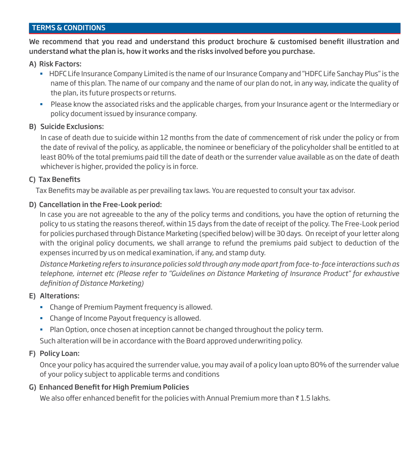# TERMS & CONDITIONS

We recommend that you read and understand this product brochure  $\&$  customised benefit illustration and understand what the plan is, how it works and the risks involved before you purchase.

#### A) Risk Factors:

- HDFC Life Insurance Company Limited is the name of our Insurance Company and "HDFC Life Sanchay Plus" is the name of this plan. The name of our company and the name of our plan do not, in any way, indicate the quality of the plan, its future prospects or returns.
- Please know the associated risks and the applicable charges, from your Insurance agent or the Intermediary or policy document issued by insurance company.

#### B) Suicide Exclusions:

In case of death due to suicide within 12 months from the date of commencement of risk under the policy or from the date of revival of the policy, as applicable, the nominee or beneficiary of the policyholder shall be entitled to at least 80% of the total premiums paid till the date of death or the surrender value available as on the date of death whichever is higher, provided the policy is in force.

#### C) Tax Benefits

Tax Benefits may be available as per prevailing tax laws. You are requested to consult your tax advisor.

#### D) Cancellation in the Free-Look period:

In case you are not agreeable to the any of the policy terms and conditions, you have the option of returning the policy to us stating the reasons thereof, within 15 days from the date of receipt of the policy. The Free-Look period for policies purchased through Distance Marketing (specified below) will be 30 days. On receipt of your letter along with the original policy documents, we shall arrange to refund the premiums paid subject to deduction of the expenses incurred by us on medical examination, if any, and stamp duty.

*Distance Marketing refers to insurance policies sold through any mode apart from face-to-face interactions such as telephone, internet etc (Please refer to "Guidelines on Distance Marketing of Insurance Product" for exhaustive*   $definition of Distance Marketing)$ 

# E) Alterations:

- Change of Premium Payment frequency is allowed.
- **EXEC** Change of Income Payout frequency is allowed.
- **Plan Option, once chosen at inception cannot be changed throughout the policy term.**

Such alteration will be in accordance with the Board approved underwriting policy.

# F) Policy Loan:

 Once your policy has acquired the surrender value, you may avail of a policy loan upto 80% of the surrender value of your policy subject to applicable terms and conditions

# G) Enhanced Benefit for High Premium Policies

We also offer enhanced benefit for the policies with Annual Premium more than  $\bar{\tau}$  1.5 lakhs.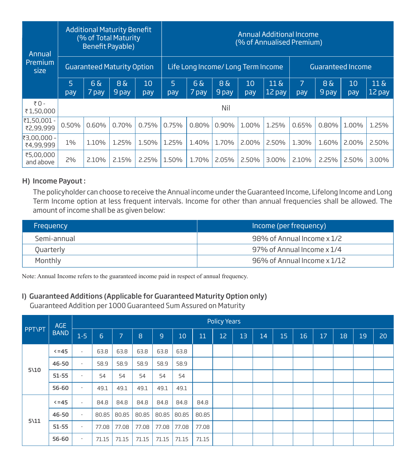| Annual                   |           | <b>Additional Maturity Benefit</b><br>(% of Total Maturity<br><b>Benefit Payable)</b> |                    |           |          |                                   |                          |           |                            | Annual Additional Income<br>(% of Annualised Premium) |                          |           |                                  |
|--------------------------|-----------|---------------------------------------------------------------------------------------|--------------------|-----------|----------|-----------------------------------|--------------------------|-----------|----------------------------|-------------------------------------------------------|--------------------------|-----------|----------------------------------|
| Premium<br>size          |           | <b>Guaranteed Maturity Option</b>                                                     |                    |           |          | Life Long Income/Long Term Income |                          |           |                            |                                                       | <b>Guaranteed Income</b> |           |                                  |
|                          | 5.<br>pay | $6\,\mathrm{a}$<br>7 pay                                                              | $8\delta$<br>9 pay | 10<br>pay | 5<br>pay | $6\,\mathrm{a}$<br>7 pay          | $8\,\mathrm{a}$<br>9 pay | 10<br>pay | $11\,\mathrm{g}$<br>12 pay | 7<br>pay                                              | $8\delta$<br>9 pay       | 10<br>pay | $11 \text{ } \text{A}$<br>12 pay |
| ₹0 -<br>₹1,50,000        |           |                                                                                       |                    |           |          |                                   | Nil                      |           |                            |                                                       |                          |           |                                  |
| ₹1,50,001 -<br>₹2,99,999 | 0.50%     | 0.60%                                                                                 | 0.70%              | 0.75%     | 0.75%    | 0.80%                             | $0.90\%$                 | 1.00%     | 1.25%                      | 0.65%                                                 | 0.80%                    | 1.00%     | 1.25%                            |
| ₹3,00,000 -<br>₹4,99,999 | 1%        | 1.10%                                                                                 | 1.25%              | 1.50%     | 1.25%    | 1.40%                             | 1.70%                    | $2.00\%$  | 2.50%                      | 1.30%                                                 | 1.60%                    | $2.00\%$  | 2.50%                            |
| ₹5,00,000<br>and above   | 2%        | 2.10%                                                                                 | 2.15%              | 2.25%     | 1.50%    | 1.70%                             | 2.05%                    | 2.50%     | $3.00\%$                   | 2.10%                                                 | 2.25%                    | 2.50%     | $3.00\%$                         |

#### H) Income Payout :

The policyholder can choose to receive the Annual income under the Guaranteed Income, Lifelong Income and Long Term Income option at less frequent intervals. Income for other than annual frequencies shall be allowed. The amount of income shall be as given below:

| Frequency   | Income (per frequency)      |
|-------------|-----------------------------|
| Semi-annual | 98% of Annual Income x 1/2  |
| Quarterly   | 97% of Annual Income x 1/4  |
| Monthly     | 96% of Annual Income x 1/12 |

Note: Annual Income refers to the guaranteed income paid in respect of annual frequency.

# I) Guaranteed Additions (Applicable for Guaranteed Maturity Option only)

Guaranteed Addition per 1000 Guaranteed Sum Assured on Maturity

|                 | AGE         |                          |       |       |       |       |       |       | <b>Policy Years</b> |    |    |    |    |    |    |    |    |
|-----------------|-------------|--------------------------|-------|-------|-------|-------|-------|-------|---------------------|----|----|----|----|----|----|----|----|
| <b>PPT\PT</b>   | <b>BAND</b> | $1-5$                    | 6     | 7.    | 8     | 9     | 10    | 11    | 12                  | 13 | 14 | 15 | 16 | 17 | 18 | 19 | 20 |
|                 | $5 = 45$    | $\overline{\phantom{a}}$ | 63.8  | 63.8  | 63.8  | 63.8  | 63.8  |       |                     |    |    |    |    |    |    |    |    |
|                 | 46-50       | $\overline{\phantom{a}}$ | 58.9  | 58.9  | 58.9  | 58.9  | 58.9  |       |                     |    |    |    |    |    |    |    |    |
| $5\backslash10$ | $51 - 55$   | $\overline{\phantom{a}}$ | 54    | 54    | 54    | 54    | 54    |       |                     |    |    |    |    |    |    |    |    |
|                 | 56-60       | $\overline{\phantom{a}}$ | 49.1  | 49.1  | 49.1  | 49.1  | 49.1  |       |                     |    |    |    |    |    |    |    |    |
|                 | $5 = 45$    | $\overline{\phantom{a}}$ | 84.8  | 84.8  | 84.8  | 84.8  | 84.8  | 84.8  |                     |    |    |    |    |    |    |    |    |
|                 | 46-50       | $\overline{\phantom{a}}$ | 80.85 | 80.85 | 80.85 | 80.85 | 80.85 | 80.85 |                     |    |    |    |    |    |    |    |    |
| $5\backslash11$ | $51 - 55$   | $\overline{\phantom{a}}$ | 77.08 | 77.08 | 77.08 | 77.08 | 77.08 | 77.08 |                     |    |    |    |    |    |    |    |    |
|                 | 56-60       | $\overline{\phantom{a}}$ | 71.15 | 71.15 | 71.15 | 71.15 | 71.15 | 71.15 |                     |    |    |    |    |    |    |    |    |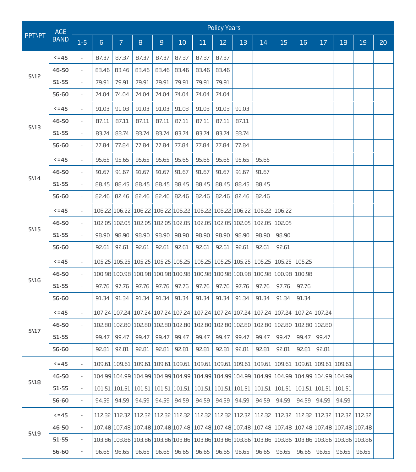|               | <b>AGE</b>  |                          |                |                                            |       |                      |                                    |       | <b>Policy Years</b>  |       |                                    |                                                                                                            |        |               |                             |       |    |
|---------------|-------------|--------------------------|----------------|--------------------------------------------|-------|----------------------|------------------------------------|-------|----------------------|-------|------------------------------------|------------------------------------------------------------------------------------------------------------|--------|---------------|-----------------------------|-------|----|
| <b>PPT\PT</b> | <b>BAND</b> | $1-5$                    | $6\phantom{1}$ | $\overline{7}$                             | 8     | $\mathsf g$          | 10                                 | 11    | 12                   | 13    | 14                                 | 15                                                                                                         | 16     | 17            | 18                          | 19    | 20 |
|               | $5 = 45$    | $\bar{\phantom{a}}$      | 87.37          | 87.37                                      | 87.37 | 87.37                | 87.37                              | 87.37 | 87.37                |       |                                    |                                                                                                            |        |               |                             |       |    |
|               | 46-50       | $\overline{\phantom{a}}$ | 83.46          | 83.46                                      | 83.46 | 83.46                | 83.46                              | 83.46 | 83.46                |       |                                    |                                                                                                            |        |               |                             |       |    |
| 5\12          | $51 - 55$   | $\overline{\phantom{a}}$ | 79.91          | 79.91                                      | 79.91 | 79.91                | 79.91                              | 79.91 | 79.91                |       |                                    |                                                                                                            |        |               |                             |       |    |
|               | 56-60       | $\overline{\phantom{a}}$ | 74.04          | 74.04                                      | 74.04 | 74.04                | 74.04                              | 74.04 | 74.04                |       |                                    |                                                                                                            |        |               |                             |       |    |
|               | $5 = 45$    | $\overline{\phantom{a}}$ | 91.03          | 91.03                                      | 91.03 | 91.03                | 91.03                              | 91.03 | 91.03                | 91.03 |                                    |                                                                                                            |        |               |                             |       |    |
|               | 46-50       | $\overline{\phantom{a}}$ | 87.11          | 87.11                                      | 87.11 | 87.11                | 87.11                              | 87.11 | 87.11                | 87.11 |                                    |                                                                                                            |        |               |                             |       |    |
| $5\sqrt{13}$  | $51 - 55$   | $\overline{\phantom{a}}$ | 83.74          | 83.74                                      | 83.74 | 83.74                | 83.74                              | 83.74 | 83.74                | 83.74 |                                    |                                                                                                            |        |               |                             |       |    |
|               | 56-60       | $\overline{\phantom{a}}$ | 77.84          | 77.84                                      | 77.84 | 77.84                | 77.84                              | 77.84 | 77.84                | 77.84 |                                    |                                                                                                            |        |               |                             |       |    |
|               | $5 = 45$    | $\overline{\phantom{a}}$ | 95.65          | 95.65                                      | 95.65 | 95.65                | 95.65                              | 95.65 | 95.65                | 95.65 | 95.65                              |                                                                                                            |        |               |                             |       |    |
|               | 46-50       | $\overline{\phantom{a}}$ | 91.67          | 91.67                                      | 91.67 | 91.67                | 91.67                              | 91.67 | 91.67                | 91.67 | 91.67                              |                                                                                                            |        |               |                             |       |    |
| $5\14$        | $51 - 55$   | $\bar{\phantom{a}}$      | 88.45          | 88.45                                      | 88.45 | 88.45                | 88.45                              | 88.45 | 88.45                | 88.45 | 88.45                              |                                                                                                            |        |               |                             |       |    |
|               | 56-60       | $\overline{\phantom{a}}$ | 82.46          | 82.46                                      | 82.46 | 82.46                | 82.46                              | 82.46 | 82.46                | 82.46 | 82.46                              |                                                                                                            |        |               |                             |       |    |
|               | $5 = 45$    | $\overline{\phantom{a}}$ |                | 106.22 106.22                              |       | 106.22 106.22 106.22 |                                    |       | 106.22 106.22 106.22 |       |                                    | 106.22 106.22                                                                                              |        |               |                             |       |    |
|               | 46-50       | $\overline{\phantom{a}}$ |                |                                            |       |                      | 102.05 102.05 102.05 102.05 102.05 |       |                      |       | 102.05 102.05 102.05 102.05 102.05 |                                                                                                            |        |               |                             |       |    |
| 5\15          | $51 - 55$   | $\overline{\phantom{a}}$ | 98.90          | 98.90                                      | 98.90 | 98.90                | 98.90                              | 98.90 | 98.90                | 98.90 | 98.90                              | 98.90                                                                                                      |        |               |                             |       |    |
|               | 56-60       | $\overline{\phantom{a}}$ | 92.61          | 92.61                                      | 92.61 | 92.61                | 92.61                              | 92.61 | 92.61                | 92.61 | 92.61                              | 92.61                                                                                                      |        |               |                             |       |    |
|               | $5 = 45$    | $\overline{\phantom{a}}$ |                | 105.25 105.25 105.25 105.25 105.25         |       |                      |                                    |       |                      |       | 105.25 105.25 105.25 105.25        | 105.25                                                                                                     | 105.25 |               |                             |       |    |
|               | 46-50       | $\overline{\phantom{a}}$ |                |                                            |       |                      |                                    |       |                      |       |                                    | 100.98 100.98 100.98 100.98 100.98 100.98 100.98 100.98 100.98 100.98 100.98                               |        |               |                             |       |    |
| 5\16          | $51 - 55$   | $\bar{\phantom{a}}$      | 97.76          | 97.76                                      | 97.76 | 97.76                | 97.76                              | 97.76 | 97.76                | 97.76 | 97.76                              | 97.76                                                                                                      | 97.76  |               |                             |       |    |
|               | 56-60       | $\blacksquare$           | 91.34          | 91.34                                      | 91.34 | 91.34                | 91.34                              | 91.34 | 91.34                | 91.34 | 91.34                              | 91.34                                                                                                      | 91.34  |               |                             |       |    |
|               | $5 = 45$    | $\overline{\phantom{a}}$ |                |                                            |       |                      |                                    |       |                      |       |                                    | 107.24 107.24 107.24 107.24 107.24 107.24 107.24 107.24 107.24 107.24 107.24 107.24 107.24                 |        |               |                             |       |    |
| 5\17          | 46-50       | $\overline{\phantom{a}}$ |                |                                            |       |                      |                                    |       |                      |       |                                    | 102.80 102.80 102.80 102.80 102.80 102.80 102.80 102.80 102.80 102.80 102.80 102.80 102.80                 |        |               |                             |       |    |
|               | $51 - 55$   | $\overline{\phantom{a}}$ | 99.47          | 99.47                                      | 99.47 | 99.47                | 99.47                              | 99.47 | 99.47                | 99.47 | 99.47                              | 99.47                                                                                                      | 99.47  | 99.47         |                             |       |    |
|               | 56-60       | $\blacksquare$           | 92.81          | 92.81                                      | 92.81 | 92.81                | 92.81                              | 92.81 | 92.81                | 92.81 | 92.81                              | 92.81                                                                                                      | 92.81  | 92.81         |                             |       |    |
|               | $5 - 45$    |                          |                |                                            |       |                      |                                    |       |                      |       |                                    | 109.61 109.61 109.61 109.61 109.61 109.61 109.61 109.61 109.61 109.61 109.61 109.61 109.61 109.61          |        |               |                             |       |    |
|               | 46-50       | $\overline{\phantom{a}}$ |                |                                            |       |                      |                                    |       |                      |       |                                    | 104.99 104.99 104.99 104.99 104.99 104.99 104.99 104.99 104.99 104.99 104.99 104.99 104.99 104.99          |        |               |                             |       |    |
| 5\18          | 51-55       | $\overline{\phantom{a}}$ |                | 101.51   101.51   101.51   101.51   101.51 |       |                      |                                    |       |                      |       | 101.51   101.51   101.51   101.51  | 101.51                                                                                                     |        | 101.51 101.51 | 101.51                      |       |    |
|               | 56-60       | $\overline{\phantom{a}}$ | 94.59          | 94.59                                      | 94.59 | 94.59                | 94.59                              | 94.59 | 94.59                | 94.59 | 94.59                              | 94.59                                                                                                      | 94.59  | 94.59         | 94.59                       |       |    |
|               | $5 = 45$    | $\overline{\phantom{a}}$ |                | 112.32   112.32   112.32   112.32   112.32 |       |                      |                                    |       | 112.32 112.32 112.32 |       |                                    | 112.32 112.32                                                                                              |        |               | 112.32 112.32 112.32 112.32 |       |    |
|               | 46-50       | $\overline{\phantom{a}}$ |                |                                            |       |                      |                                    |       |                      |       |                                    | 107.48 107.48 107.48 107.48 107.48 107.48 107.48 107.48 107.48 107.48 107.48 107.48 107.48 107.48 107.48 1 |        |               |                             |       |    |
| 5\19          | 51-55       | $\overline{\phantom{a}}$ |                |                                            |       |                      |                                    |       |                      |       |                                    | 103.86 103.86 103.86 103.86 103.86 103.86 103.86 103.86 103.86 103.86 103.86                               |        |               | 103.86 103.86 103.86 103.86 |       |    |
|               | 56-60       | $\overline{\phantom{a}}$ | 96.65          | 96.65                                      | 96.65 | 96.65                | 96.65                              | 96.65 | 96.65                | 96.65 | 96.65                              | 96.65                                                                                                      | 96.65  | 96.65         | 96.65                       | 96.65 |    |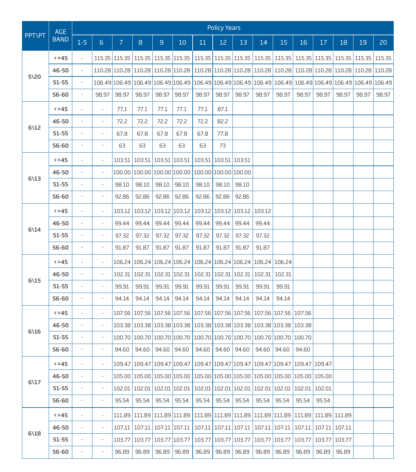|                 | <b>AGE</b>  |                          |                          |               |                                                                |                          |                                           |       | <b>Policy Years</b>      |                      |               |                                                                                                                 |                 |        |        |        |        |
|-----------------|-------------|--------------------------|--------------------------|---------------|----------------------------------------------------------------|--------------------------|-------------------------------------------|-------|--------------------------|----------------------|---------------|-----------------------------------------------------------------------------------------------------------------|-----------------|--------|--------|--------|--------|
| <b>PPT\PT</b>   | <b>BAND</b> | $1 - 5$                  | $6 \overline{6}$         | $\mathcal{I}$ | 8                                                              | $\overline{9}$           | 10                                        | 11    | 12                       | 13                   | 14            | 15                                                                                                              | 16              | 17     | 18     | 19     | 20     |
|                 | $5 = 45$    | $\bar{\phantom{a}}$      |                          |               | 115.35 115.35 115.35 115.35 115.35                             |                          |                                           |       |                          |                      |               | 115.35   115.35   115.35   115.35   115.35   115.35   115.35   115.35                                           |                 |        |        | 115.35 | 115.35 |
|                 | 46-50       | $\overline{\phantom{a}}$ |                          |               |                                                                |                          |                                           |       |                          |                      |               | 110.28 110.28 110.28 110.28 110.28 110.28 110.28 110.28 110.28 110.28 110.28 110.28 110.28 110.28 110.28 110.28 |                 |        |        |        |        |
| 5\20            | $51 - 55$   | $\overline{\phantom{a}}$ |                          |               | 106.49 106.49 106.49 106.49 106.49                             |                          |                                           |       |                          |                      |               | 106.49 106.49 106.49 106.49 106.49 106.49 106.49 106.49 106.49 106.49                                           |                 |        |        |        |        |
|                 | 56-60       | $\overline{\phantom{a}}$ | 98.97                    | 98.97         | 98.97                                                          | 98.97                    | 98.97                                     | 98.97 | 98.97                    | 98.97                | 98.97         | 98.97                                                                                                           | 98.97           | 98.97  | 98.97  | 98.97  | 98.97  |
|                 | $5 = 45$    | $\overline{\phantom{a}}$ | $\overline{\phantom{a}}$ | 77.1          | 77.1                                                           | 77.1                     | 77.1                                      | 77.1  | 87.1                     |                      |               |                                                                                                                 |                 |        |        |        |        |
|                 | 46-50       |                          | $\overline{\phantom{a}}$ | 72.2          | 72.2                                                           | 72.2                     | 72.2                                      | 72.2  | 82.2                     |                      |               |                                                                                                                 |                 |        |        |        |        |
| 612             | 51-55       | $\overline{\phantom{a}}$ | $\blacksquare$           | 67.8          | 67.8                                                           | 67.8                     | 67.8                                      | 67.8  | 77.8                     |                      |               |                                                                                                                 |                 |        |        |        |        |
|                 | 56-60       | $\overline{\phantom{a}}$ | ÷,                       | 63            | 63                                                             | 63                       | 63                                        | 63    | 73                       |                      |               |                                                                                                                 |                 |        |        |        |        |
|                 | $5 = 45$    | $\frac{1}{2}$            | ÷,                       | 103.51        |                                                                |                          | 103.51 103.51 103.51 103.51 103.51 103.51 |       |                          |                      |               |                                                                                                                 |                 |        |        |        |        |
|                 | 46-50       |                          | $\overline{\phantom{a}}$ |               | 100.00 100.00 100.00 100.00 100.00 100.00 100.00               |                          |                                           |       |                          |                      |               |                                                                                                                 |                 |        |        |        |        |
| $6\sqrt{13}$    | 51-55       | $\overline{\phantom{a}}$ | $\blacksquare$           | 98.10         | 98.10                                                          | 98.10                    | 98.10                                     | 98.10 | 98.10                    | 98.10                |               |                                                                                                                 |                 |        |        |        |        |
|                 | 56-60       | $\overline{\phantom{a}}$ | $\overline{\phantom{a}}$ | 92.86         | 92.86                                                          | 92.86                    | 92.86                                     | 92.86 | 92.86                    | 92.86                |               |                                                                                                                 |                 |        |        |        |        |
|                 | $5 = 45$    | $\frac{1}{2}$            | $\overline{\phantom{a}}$ | 103.12        |                                                                | 103.12 103.12 103.12     |                                           |       | 103.12 103.12 103.12     |                      | 103.12        |                                                                                                                 |                 |        |        |        |        |
|                 | 46-50       |                          | ÷,                       | 99.44         | 99.44                                                          | 99.44                    | 99.44                                     | 99.44 | 99.44                    | 99.44                | 99.44         |                                                                                                                 |                 |        |        |        |        |
| $6\frac{14}{2}$ | 51-55       | $\overline{\phantom{a}}$ | $\overline{\phantom{a}}$ | 97.32         | 97.32                                                          | 97.32                    | 97.32                                     | 97.32 | 97.32                    | 97.32                | 97.32         |                                                                                                                 |                 |        |        |        |        |
|                 | 56-60       | $\frac{1}{2}$            | ÷,                       | 91.87         | 91.87                                                          | 91.87                    | 91.87                                     | 91.87 | 91.87                    | 91.87                | 91.87         |                                                                                                                 |                 |        |        |        |        |
|                 | $5 = 45$    | $\overline{\phantom{a}}$ | $\overline{\phantom{a}}$ |               | 106.24 106.24 106.24 106.24 106.24 106.24 106.24 106.24 106.24 |                          |                                           |       |                          |                      |               |                                                                                                                 |                 |        |        |        |        |
| $6\15$          | 46-50       | $\overline{a}$           | $\overline{\phantom{a}}$ |               | 102.31   102.31   102.31   102.31                              |                          |                                           |       |                          | 102.31 102.31 102.31 | 102.31 102.31 |                                                                                                                 |                 |        |        |        |        |
|                 | $51 - 55$   | $\overline{\phantom{a}}$ | $\blacksquare$           | 99.91         | 99.91                                                          | 99.91                    | 99.91                                     | 99.91 | 99.91                    | 99.91                | 99.91         | 99.91                                                                                                           |                 |        |        |        |        |
|                 | 56-60       | $\overline{\phantom{a}}$ | ÷,                       | 94.14         | 94.14                                                          | 94.14                    | 94.14                                     | 94.14 | 94.14                    | 94.14                | 94.14         | 94.14                                                                                                           |                 |        |        |        |        |
|                 | $5 = 45$    | $\overline{\phantom{a}}$ | $\overline{\phantom{a}}$ |               |                                                                |                          |                                           |       |                          |                      |               | 107.56 107.56 107.56 107.56 107.56 107.56 107.56 107.56 107.56 107.56                                           |                 |        |        |        |        |
| 6\16            | 46-50       | $\frac{1}{2}$            | $\overline{\phantom{a}}$ |               |                                                                |                          |                                           |       |                          |                      |               | 103.38 103.38 103.38 103.38 103.38 103.38 103.38 103.38 103.38 103.38                                           |                 |        |        |        |        |
|                 | $51 - 55$   | $\overline{\phantom{a}}$ | $\overline{\phantom{a}}$ |               |                                                                |                          |                                           |       |                          |                      |               | 100.70 100.70 100.70 100.70 100.70 100.70 100.70 100.70 100.70 100.70 100.70                                    |                 |        |        |        |        |
|                 | 56-60       | ÷,                       |                          | 94.60         | 94.60                                                          | 94.60                    | 94.60                                     | 94.60 | 94.60                    | 94.60                | 94.60         | 94.60                                                                                                           | 94.60           |        |        |        |        |
|                 | $5 - 45$    |                          |                          |               |                                                                |                          |                                           |       |                          |                      |               | 109.47  109.47  109.47  109.47  109.47  109.47  109.47  109.47  109.47  109.47  109.47                          |                 |        |        |        |        |
| 6\17            | 46-50       | $\overline{\phantom{a}}$ | $\overline{\phantom{a}}$ |               |                                                                |                          |                                           |       |                          |                      |               | 105.00 105.00 105.00 105.00 105.00 105.00 105.00 105.00 105.00 105.00 105.00 105.00                             |                 |        |        |        |        |
|                 | 51-55       | $\overline{\phantom{0}}$ | $\overline{\phantom{a}}$ |               | 102.01 102.01 102.01 102.01                                    |                          |                                           |       | 102.01 102.01 102.01     |                      | 102.01 102.01 |                                                                                                                 | $102.01$ 102.01 |        |        |        |        |
|                 | 56-60       | $\overline{\phantom{a}}$ | $\overline{\phantom{a}}$ | 95.54         | 95.54                                                          | 95.54                    | 95.54                                     | 95.54 | 95.54                    | 95.54                | 95.54         | 95.54                                                                                                           | 95.54           | 95.54  |        |        |        |
|                 | $5 = 45$    | $\frac{1}{2}$            | $\overline{\phantom{a}}$ | 111.89        |                                                                | 111.89 111.89 111.89     |                                           |       | 111.89 111.89 111.89     |                      |               | 111.89 111.89 111.89 111.89 111.89                                                                              |                 |        |        |        |        |
|                 | 46-50       | ÷                        | $\overline{\phantom{a}}$ | 107.11        |                                                                | 107.11   107.11   107.11 |                                           |       | 107.11   107.11   107.11 |                      |               | 107.11 107.11                                                                                                   | 107.11          | 107.11 | 107.11 |        |        |
| $6\sqrt{18}$    | $51 - 55$   | $\frac{1}{2}$            | $\overline{\phantom{a}}$ | 103.77        |                                                                | 103.77 103.77 103.77     |                                           |       | 103.77 103.77 103.77     |                      | 103.77 103.77 |                                                                                                                 | 103.77          | 103.77 | 103.77 |        |        |
|                 | 56-60       | $\overline{\phantom{a}}$ | $\overline{\phantom{a}}$ | 96.89         | 96.89                                                          | 96.89                    | 96.89                                     | 96.89 | 96.89                    | 96.89                | 96.89         | 96.89                                                                                                           | 96.89           | 96.89  | 96.89  |        |        |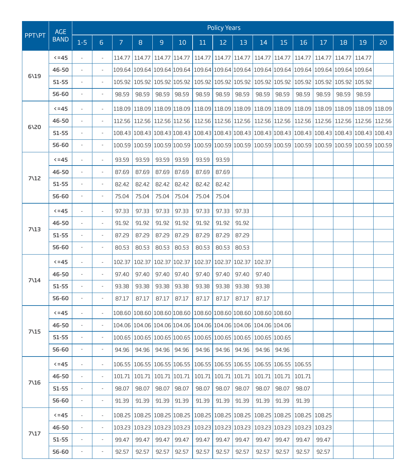|                 | <b>AGE</b>  |                          |                          |                |                             |               |                                                                                                           |        | <b>Policy Years</b> |        |               |       |        |        |                                                                |                                                                                                            |    |
|-----------------|-------------|--------------------------|--------------------------|----------------|-----------------------------|---------------|-----------------------------------------------------------------------------------------------------------|--------|---------------------|--------|---------------|-------|--------|--------|----------------------------------------------------------------|------------------------------------------------------------------------------------------------------------|----|
| <b>PPT\PT</b>   | <b>BAND</b> | $1 - 5$                  | $6\phantom{1}$           | $\overline{7}$ | 8                           | 9             | 10                                                                                                        | 11     | 12                  | 13     | 14            | 15    | 16     | 17     | 18                                                             | 19                                                                                                         | 20 |
|                 | $5 = 45$    | $\overline{\phantom{a}}$ | $\overline{\phantom{a}}$ | 114.77         | 114.77                      | 114.77 114.77 |                                                                                                           | 114.77 | 114.77 114.77       |        | 114.77 114.77 |       | 114.77 | 114.77 | 114.77                                                         | 114.77                                                                                                     |    |
|                 | 46-50       |                          | $\overline{a}$           |                |                             |               | 109.64 109.64 109.64 109.64                                                                               |        |                     |        |               |       |        |        | 109.64 109.64 109.64 109.64 109.64 109.64 109.64 109.64 109.64 |                                                                                                            |    |
| 6119            | $51 - 55$   | $\overline{\phantom{a}}$ | $\overline{\phantom{a}}$ |                | 105.92 105.92 105.92 105.92 |               |                                                                                                           |        |                     |        |               |       |        |        | 105.92 105.92 105.92 105.92 105.92 105.92 105.92 105.92 105.92 |                                                                                                            |    |
|                 | 56-60       | $\overline{\phantom{a}}$ | ÷,                       | 98.59          | 98.59                       | 98.59         | 98.59                                                                                                     | 98.59  | 98.59               | 98.59  | 98.59         | 98.59 | 98.59  | 98.59  | 98.59                                                          | 98.59                                                                                                      |    |
|                 | $5 = 45$    | $\overline{\phantom{a}}$ | $\frac{1}{2}$            |                |                             |               |                                                                                                           |        |                     |        |               |       |        |        |                                                                | 118.09 118.09 118.09 118.09 118.09 118.09 118.09 118.09 118.09 118.09 118.09 118.09 118.09 118.09 118.09 1 |    |
|                 | 46-50       |                          | $\frac{1}{2}$            |                |                             |               | 112.56 112.56 112.56 112.56                                                                               |        |                     |        |               |       |        |        |                                                                | 112.56 112.56 112.56 112.56 112.56 112.56 112.56 112.56 112.56 112.56                                      |    |
| 6120            | 51-55       | $\overline{\phantom{a}}$ | $\overline{\phantom{a}}$ |                |                             |               |                                                                                                           |        |                     |        |               |       |        |        |                                                                | 108.43 108.43 108.43 108.43 108.43 108.43 108.43 108.43 108.43 108.43 108.43 108.43 108.43 108.43 108.43   |    |
|                 | 56-60       | $\overline{\phantom{a}}$ | $\overline{\phantom{a}}$ |                |                             |               |                                                                                                           |        |                     |        |               |       |        |        |                                                                | 100.59 100.59 100.59 100.59 100.59 100.59 100.59 100.59 100.59 100.59 100.59 100.59 100.59 100.59 100.59   |    |
|                 | $5 = 45$    | $\overline{\phantom{a}}$ | $\overline{\phantom{a}}$ | 93.59          | 93.59                       | 93.59         | 93.59                                                                                                     | 93.59  | 93.59               |        |               |       |        |        |                                                                |                                                                                                            |    |
|                 | 46-50       | $\overline{a}$           | $\frac{1}{2}$            | 87.69          | 87.69                       | 87.69         | 87.69                                                                                                     | 87.69  | 87.69               |        |               |       |        |        |                                                                |                                                                                                            |    |
| 7\12            | $51 - 55$   | $\overline{\phantom{a}}$ | $\overline{\phantom{a}}$ | 82.42          | 82.42                       | 82.42         | 82.42                                                                                                     | 82.42  | 82.42               |        |               |       |        |        |                                                                |                                                                                                            |    |
|                 | 56-60       | $\blacksquare$           | ÷,                       | 75.04          | 75.04                       | 75.04         | 75.04                                                                                                     | 75.04  | 75.04               |        |               |       |        |        |                                                                |                                                                                                            |    |
|                 | $5 = 45$    | $\overline{\phantom{a}}$ | $\overline{\phantom{a}}$ | 97.33          | 97.33                       | 97.33         | 97.33                                                                                                     | 97.33  | 97.33               | 97.33  |               |       |        |        |                                                                |                                                                                                            |    |
|                 | 46-50       | ÷,                       | $\frac{1}{2}$            | 91.92          | 91.92                       | 91.92         | 91.92                                                                                                     | 91.92  | 91.92               | 91.92  |               |       |        |        |                                                                |                                                                                                            |    |
| $7\backslash13$ | 51-55       | $\overline{\phantom{a}}$ | $\overline{\phantom{a}}$ | 87.29          | 87.29                       | 87.29         | 87.29                                                                                                     | 87.29  | 87.29               | 87.29  |               |       |        |        |                                                                |                                                                                                            |    |
|                 | 56-60       | $\blacksquare$           | ÷,                       | 80.53          | 80.53                       | 80.53         | 80.53                                                                                                     | 80.53  | 80.53               | 80.53  |               |       |        |        |                                                                |                                                                                                            |    |
|                 | $5 = 45$    | $\overline{a}$           | $\overline{\phantom{a}}$ | 102.37         | 102.37                      | 102.37 102.37 |                                                                                                           | 102.37 | 102.37              | 102.37 | 102.37        |       |        |        |                                                                |                                                                                                            |    |
| $7\backslash14$ | 46-50       | ÷,                       | $\overline{\phantom{a}}$ | 97.40          | 97.40                       | 97.40         | 97.40                                                                                                     | 97.40  | 97.40               | 97.40  | 97.40         |       |        |        |                                                                |                                                                                                            |    |
|                 | $51 - 55$   | $\frac{1}{2}$            | $\overline{\phantom{a}}$ | 93.38          | 93.38                       | 93.38         | 93.38                                                                                                     | 93.38  | 93.38               | 93.38  | 93.38         |       |        |        |                                                                |                                                                                                            |    |
|                 | 56-60       | $\blacksquare$           | ÷,                       | 87.17          | 87.17                       | 87.17         | 87.17                                                                                                     | 87.17  | 87.17               | 87.17  | 87.17         |       |        |        |                                                                |                                                                                                            |    |
|                 | $5 = 45$    | $\overline{\phantom{a}}$ | $\overline{\phantom{a}}$ |                |                             |               | 108.60 108.60 108.60 108.60 108.60 108.60 108.60 108.60 108.60                                            |        |                     |        |               |       |        |        |                                                                |                                                                                                            |    |
| $7\backslash15$ | 46-50       | $\overline{\phantom{a}}$ | $\overline{\phantom{a}}$ |                |                             |               | 104.06 104.06 104.06 104.06 104.06 104.06 104.06 104.06 104.06                                            |        |                     |        |               |       |        |        |                                                                |                                                                                                            |    |
|                 | 51-55       | $\overline{\phantom{m}}$ | ÷,                       |                |                             |               | 100.65 100.65 100.65 100.65 100.65 100.65 100.65 100.65 100.65                                            |        |                     |        |               |       |        |        |                                                                |                                                                                                            |    |
|                 | 56-60       | $\blacksquare$           | ÷,                       | 94.96          | 94.96                       | 94.96         | 94.96                                                                                                     | 94.96  | 94.96               | 94.96  | 94.96         | 94.96 |        |        |                                                                |                                                                                                            |    |
|                 | $5 - 45$    |                          |                          |                |                             |               | 106.55 106.55 106.55 106.55 106.55 106.55 106.55 106.55 106.55 106.55                                     |        |                     |        |               |       |        |        |                                                                |                                                                                                            |    |
| 7\16            | 46-50       |                          |                          | 101.71         |                             |               | 101.71   101.71   101.71   101.71   101.71   101.71   101.71   101.71                                     |        |                     |        |               |       | 101.71 |        |                                                                |                                                                                                            |    |
|                 | $51 - 55$   | $\overline{\phantom{a}}$ | $\overline{\phantom{a}}$ | 98.07          | 98.07                       | 98.07         | 98.07                                                                                                     | 98.07  | 98.07               | 98.07  | 98.07         | 98.07 | 98.07  |        |                                                                |                                                                                                            |    |
|                 | 56-60       | $\overline{\phantom{a}}$ | $\frac{1}{2}$            | 91.39          | 91.39                       | 91.39         | 91.39                                                                                                     | 91.39  | 91.39               | 91.39  | 91.39         | 91.39 | 91.39  |        |                                                                |                                                                                                            |    |
|                 | $5 = 45$    | $\overline{\phantom{a}}$ | $\overline{\phantom{a}}$ |                |                             |               | 108.25   108.25   108.25   108.25   108.25   108.25   108.25   108.25   108.25   108.25   108.25   108.25 |        |                     |        |               |       |        |        |                                                                |                                                                                                            |    |
| $7\frac{17}{2}$ | 46-50       | $\blacksquare$           | $\overline{\phantom{a}}$ |                |                             |               | 103.23   103.23   103.23   103.23   103.23   103.23   103.23   103.23   103.23   103.23   103.23          |        |                     |        |               |       |        |        |                                                                |                                                                                                            |    |
|                 | $51 - 55$   | $\overline{\phantom{a}}$ | ä,                       | 99.47          | 99.47                       | 99.47         | 99.47                                                                                                     | 99.47  | 99.47               | 99.47  | 99.47         | 99.47 | 99.47  | 99.47  |                                                                |                                                                                                            |    |
|                 | 56-60       | $\sim$                   | $\frac{1}{2}$            | 92.57          | 92.57                       | 92.57         | 92.57                                                                                                     | 92.57  | 92.57               | 92.57  | 92.57         | 92.57 | 92.57  | 92.57  |                                                                |                                                                                                            |    |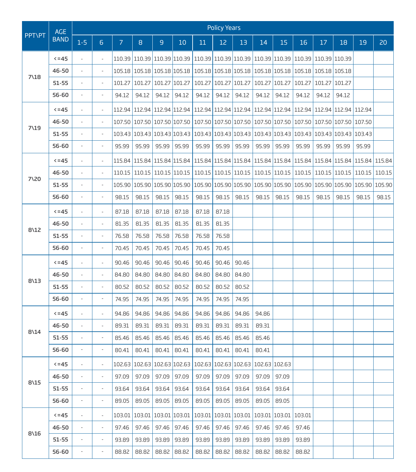|                 | <b>AGE</b>  |                              |                          |                |        |                      |                                                                                                   |       | <b>Policy Years</b>  |       |               |                      |        |        |        |                                                                                                                                      |       |
|-----------------|-------------|------------------------------|--------------------------|----------------|--------|----------------------|---------------------------------------------------------------------------------------------------|-------|----------------------|-------|---------------|----------------------|--------|--------|--------|--------------------------------------------------------------------------------------------------------------------------------------|-------|
| <b>PPT\PT</b>   | <b>BAND</b> | $1 - 5$                      | 6 <sup>1</sup>           | $\overline{7}$ | 8      | $\overline{9}$       | 10                                                                                                | 11    | 12                   | 13    | 14            | 15                   | 16     | $17\,$ | 18     | 19                                                                                                                                   | 20    |
|                 | $5 = 45$    | $\bar{\phantom{a}}$          | $\overline{\phantom{a}}$ |                |        |                      | 110.39 110.39 110.39 110.39 110.39 110.39 110.39 110.39 110.39 110.39 110.39 110.39 110.39        |       |                      |       |               |                      |        |        |        |                                                                                                                                      |       |
|                 | 46-50       |                              | $\overline{\phantom{a}}$ |                |        |                      | 105.18 105.18 105.18 105.18 105.18 105.18 105.18 105.18 105.18 105.18 105.18 105.18 105.18        |       |                      |       |               |                      |        |        |        |                                                                                                                                      |       |
| 7\18            | $51 - 55$   | $\overline{\phantom{a}}$     | $\overline{\phantom{a}}$ | 101.27         |        | 101.27 101.27 101.27 |                                                                                                   |       | 101.27 101.27 101.27 |       | 101.27 101.27 |                      | 101.27 | 101.27 | 101.27 |                                                                                                                                      |       |
|                 | 56-60       | $\overline{\phantom{a}}$     | $\overline{\phantom{a}}$ | 94.12          | 94.12  | 94.12                | 94.12                                                                                             | 94.12 | 94.12                | 94.12 | 94.12         | 94.12                | 94.12  | 94.12  | 94.12  |                                                                                                                                      |       |
|                 | $5 = 45$    | $\overline{\phantom{a}}$     | $\overline{\phantom{a}}$ |                |        |                      | 112.94 112.94 112.94 112.94 112.94 112.94 112.94 112.94 112.94 112.94 112.94 112.94 112.94 112.94 |       |                      |       |               |                      |        |        |        |                                                                                                                                      |       |
|                 | 46-50       |                              | $\overline{\phantom{a}}$ |                |        |                      | 107.50 107.50 107.50 107.50 107.50 107.50 107.50 107.50 107.50 107.50 107.50 107.50 107.50 107.50 |       |                      |       |               |                      |        |        |        |                                                                                                                                      |       |
| 7\19            | 51-55       | $\overline{\phantom{a}}$     | $\overline{\phantom{a}}$ |                |        |                      | 103.43 103.43 103.43 103.43 103.43 103.43 103.43 103.43 103.43 103.43 103.43 103.43 103.43 103.43 |       |                      |       |               |                      |        |        |        |                                                                                                                                      |       |
|                 | 56-60       | ÷,                           | $\overline{\phantom{a}}$ | 95.99          | 95.99  | 95.99                | 95.99                                                                                             | 95.99 | 95.99                | 95.99 | 95.99         | 95.99                | 95.99  | 95.99  | 95.99  | 95.99                                                                                                                                |       |
|                 | $5 = 45$    | $\overline{\phantom{a}}$     | $\overline{\phantom{a}}$ |                |        |                      |                                                                                                   |       |                      |       |               |                      |        |        |        | 115.84 115.84 115.84 115.84 115.84 115.84 115.84 115.84 115.84 115.84 115.84 115.84 115.84 115.84 115.84                             |       |
|                 | 46-50       | $\overline{a}$               | $\overline{\phantom{a}}$ |                |        |                      |                                                                                                   |       |                      |       |               |                      |        |        |        | 110.15   110.15   110.15   110.15   110.15   110.15   110.15   110.15   110.15   110.15   110.15   110.15   110.15   110.15   110.15 |       |
| 7\20            | $51 - 55$   | $\overline{\phantom{a}}$     | $\overline{\phantom{a}}$ |                |        |                      |                                                                                                   |       |                      |       |               |                      |        |        |        | 105.90 105.90 105.90 105.90 105.90 105.90 105.90 105.90 105.90 105.90 105.90 105.90 105.90 105.90 105.90                             |       |
|                 | 56-60       | ÷,                           | $\overline{\phantom{a}}$ | 98.15          | 98.15  | 98.15                | 98.15                                                                                             | 98.15 | 98.15                | 98.15 | 98.15         | 98.15                | 98.15  | 98.15  | 98.15  | 98.15                                                                                                                                | 98.15 |
|                 | $5 = 45$    | $\overline{\phantom{a}}$     | $\overline{\phantom{a}}$ | 87.18          | 87.18  | 87.18                | 87.18                                                                                             | 87.18 | 87.18                |       |               |                      |        |        |        |                                                                                                                                      |       |
| 8\12            | 46-50       | $\overline{\phantom{0}}$     | $\overline{\phantom{a}}$ | 81.35          | 81.35  | 81.35                | 81.35                                                                                             | 81.35 | 81.35                |       |               |                      |        |        |        |                                                                                                                                      |       |
|                 | $51 - 55$   | $\overline{\phantom{a}}$     | $\overline{\phantom{a}}$ | 76.58          | 76.58  | 76.58                | 76.58                                                                                             | 76.58 | 76.58                |       |               |                      |        |        |        |                                                                                                                                      |       |
|                 | 56-60       | ÷,                           | $\overline{\phantom{a}}$ | 70.45          | 70.45  | 70.45                | 70.45                                                                                             | 70.45 | 70.45                |       |               |                      |        |        |        |                                                                                                                                      |       |
|                 | $5 = 45$    | $\overline{\phantom{a}}$     | $\overline{\phantom{a}}$ | 90.46          | 90.46  | 90.46                | 90.46                                                                                             | 90.46 | 90.46                | 90.46 |               |                      |        |        |        |                                                                                                                                      |       |
| 8\13            | 46-50       | $\overline{a}$               | $\overline{\phantom{a}}$ | 84.80          | 84.80  | 84.80                | 84.80                                                                                             | 84.80 | 84.80                | 84.80 |               |                      |        |        |        |                                                                                                                                      |       |
|                 | $51 - 55$   | $\overline{\phantom{a}}$     | $\blacksquare$           | 80.52          | 80.52  | 80.52                | 80.52                                                                                             | 80.52 | 80.52                | 80.52 |               |                      |        |        |        |                                                                                                                                      |       |
|                 | 56-60       | $\overline{\phantom{a}}$     | $\overline{\phantom{a}}$ | 74.95          | 74.95  | 74.95                | 74.95                                                                                             | 74.95 | 74.95                | 74.95 |               |                      |        |        |        |                                                                                                                                      |       |
|                 | $5 = 45$    | ÷,                           | $\overline{\phantom{a}}$ | 94.86          | 94.86  | 94.86                | 94.86                                                                                             | 94.86 | 94.86                | 94.86 | 94.86         |                      |        |        |        |                                                                                                                                      |       |
| $8\backslash14$ | 46-50       | $\overline{\phantom{0}}$     | $\overline{a}$           | 89.31          | 89.31  | 89.31                | 89.31                                                                                             | 89.31 | 89.31                | 89.31 | 89.31         |                      |        |        |        |                                                                                                                                      |       |
|                 | $51 - 55$   | $\overline{\phantom{a}}$     | $\overline{\phantom{a}}$ | 85.46          | 85.46  | 85.46                | 85.46                                                                                             | 85.46 | 85.46                | 85.46 | 85.46         |                      |        |        |        |                                                                                                                                      |       |
|                 | 56-60       |                              |                          | 80.41          | 80.41  | 80.41                | 80.41                                                                                             | 80.41 | 80.41                | 80.41 | 80.41         |                      |        |        |        |                                                                                                                                      |       |
|                 | $5 - 45$    |                              |                          |                |        |                      | 102.63   102.63   102.63   102.63   102.63   102.63   102.63   102.63   102.63                    |       |                      |       |               |                      |        |        |        |                                                                                                                                      |       |
| 8\15            | 46-50       | ÷,                           | $\overline{a}$           | 97.09          | 97.09  | 97.09                | 97.09                                                                                             | 97.09 | 97.09                | 97.09 | 97.09         | 97.09                |        |        |        |                                                                                                                                      |       |
|                 | 51-55       | $\qquad \qquad \blacksquare$ | $\overline{\phantom{a}}$ | 93.64          | 93.64  | 93.64                | 93.64                                                                                             | 93.64 | 93.64                | 93.64 | 93.64         | 93.64                |        |        |        |                                                                                                                                      |       |
|                 | 56-60       | $\overline{\phantom{a}}$     | $\overline{\phantom{a}}$ | 89.05          | 89.05  | 89.05                | 89.05                                                                                             | 89.05 | 89.05                | 89.05 | 89.05         | 89.05                |        |        |        |                                                                                                                                      |       |
|                 | $5 = 45$    | $\overline{\phantom{a}}$     | $\overline{\phantom{a}}$ | 103.01         | 103.01 | 103.01 103.01        |                                                                                                   |       | 103.01 103.01 103.01 |       |               | 103.01 103.01 103.01 |        |        |        |                                                                                                                                      |       |
| 8\16            | 46-50       | $\overline{\phantom{m}}$     | $\overline{\phantom{a}}$ | 97.46          | 97.46  | 97.46                | 97.46                                                                                             | 97.46 | 97.46                | 97.46 | 97.46         | 97.46                | 97.46  |        |        |                                                                                                                                      |       |
|                 | $51 - 55$   | $\qquad \qquad \blacksquare$ | $\overline{a}$           | 93.89          | 93.89  | 93.89                | 93.89                                                                                             | 93.89 | 93.89                | 93.89 | 93.89         | 93.89                | 93.89  |        |        |                                                                                                                                      |       |
|                 | 56-60       | $\overline{\phantom{a}}$     | $\overline{\phantom{a}}$ | 88.82          | 88.82  | 88.82                | 88.82                                                                                             | 88.82 | 88.82                | 88.82 | 88.82         | 88.82                | 88.82  |        |        |                                                                                                                                      |       |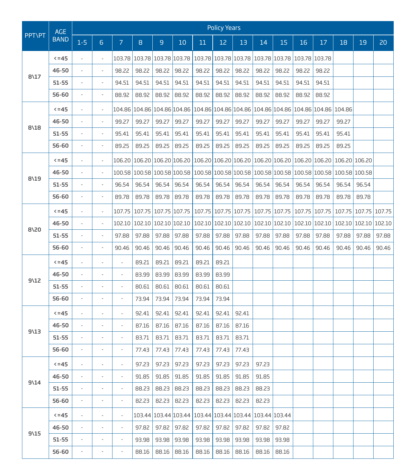|                 | <b>AGE</b>  |                              |                          |                          |                             |                      |                                                                                                   |       | <b>Policy Years</b>  |                                                              |               |               |               |                                                                |        |                      |               |
|-----------------|-------------|------------------------------|--------------------------|--------------------------|-----------------------------|----------------------|---------------------------------------------------------------------------------------------------|-------|----------------------|--------------------------------------------------------------|---------------|---------------|---------------|----------------------------------------------------------------|--------|----------------------|---------------|
| <b>PPT\PT</b>   | <b>BAND</b> | $1 - 5$                      | 6                        | $\overline{7}$           | $\overline{8}$              | $\mathsf g$          | 10                                                                                                | 11    | 12                   | 13                                                           | 14            | 15            | 16            | 17                                                             | 18     | 19                   | 20            |
|                 | $5 = 45$    | $\overline{\phantom{a}}$     | $\overline{\phantom{a}}$ |                          | 103.78 103.78 103.78 103.78 |                      |                                                                                                   |       |                      | 103.78   103.78   103.78   103.78   103.78   103.78   103.78 |               |               |               |                                                                |        |                      |               |
|                 | 46-50       |                              | $\overline{\phantom{a}}$ | 98.22                    | 98.22                       | 98.22                | 98.22                                                                                             | 98.22 | 98.22                | 98.22                                                        | 98.22         | 98.22         | 98.22         | 98.22                                                          |        |                      |               |
| $8\frac{17}{2}$ | $51 - 55$   | $\overline{\phantom{a}}$     | $\blacksquare$           | 94.51                    | 94.51                       | 94.51                | 94.51                                                                                             | 94.51 | 94.51                | 94.51                                                        | 94.51         | 94.51         | 94.51         | 94.51                                                          |        |                      |               |
|                 | 56-60       | $\overline{\phantom{a}}$     | $\overline{a}$           | 88.92                    | 88.92                       | 88.92                | 88.92                                                                                             | 88.92 | 88.92                | 88.92                                                        | 88.92         | 88.92         | 88.92         | 88.92                                                          |        |                      |               |
|                 | $5 = 45$    | $\frac{1}{2}$                | $\overline{\phantom{a}}$ |                          | 104.86 104.86 104.86 104.86 |                      |                                                                                                   |       |                      |                                                              |               |               |               | 104.86 104.86 104.86 104.86 104.86 104.86 104.86 104.86 104.86 |        |                      |               |
|                 | 46-50       | $\frac{1}{2}$                | ÷,                       | 99.27                    | 99.27                       | 99.27                | 99.27                                                                                             | 99.27 | 99.27                | 99.27                                                        | 99.27         | 99.27         | 99.27         | 99.27                                                          | 99.27  |                      |               |
| 8\18            | $51 - 55$   | $\overline{\phantom{a}}$     | $\blacksquare$           | 95.41                    | 95.41                       | 95.41                | 95.41                                                                                             | 95.41 | 95.41                | 95.41                                                        | 95.41         | 95.41         | 95.41         | 95.41                                                          | 95.41  |                      |               |
|                 | 56-60       | $\qquad \qquad \blacksquare$ | $\overline{\phantom{a}}$ | 89.25                    | 89.25                       | 89.25                | 89.25                                                                                             | 89.25 | 89.25                | 89.25                                                        | 89.25         | 89.25         | 89.25         | 89.25                                                          | 89.25  |                      |               |
|                 | $5 = 45$    | $\overline{\phantom{a}}$     | $\overline{\phantom{a}}$ |                          | 106.20 106.20 106.20 106.20 |                      |                                                                                                   |       | 106.20 106.20 106.20 |                                                              |               | 106.20 106.20 | 106.20 106.20 |                                                                |        | 106.20 106.20        |               |
|                 | 46-50       | $\frac{1}{2}$                | $\overline{\phantom{a}}$ |                          |                             |                      | 100.58 100.58 100.58 100.58 100.58 100.58 100.58 100.58 100.58 100.58 100.58 100.58 100.58 100.58 |       |                      |                                                              |               |               |               |                                                                |        |                      |               |
| 8\19            | $51 - 55$   | $\overline{\phantom{a}}$     | $\overline{\phantom{a}}$ | 96.54                    | 96.54                       | 96.54                | 96.54                                                                                             | 96.54 | 96.54                | 96.54                                                        | 96.54         | 96.54         | 96.54         | 96.54                                                          | 96.54  | 96.54                |               |
|                 | 56-60       | $\overline{\phantom{a}}$     | ÷,                       | 89.78                    | 89.78                       | 89.78                | 89.78                                                                                             | 89.78 | 89.78                | 89.78                                                        | 89.78         | 89.78         | 89.78         | 89.78                                                          | 89.78  | 89.78                |               |
|                 | $5 = 45$    | $\frac{1}{2}$                | $\overline{\phantom{a}}$ | 107.75                   |                             | 107.75 107.75 107.75 |                                                                                                   |       | 107.75 107.75 107.75 |                                                              | 107.75 107.75 |               | 107.75 107.75 |                                                                | 107.75 |                      | 107.75 107.75 |
|                 | 46-50       |                              | ÷,                       |                          |                             |                      | 102.10 102.10 102.10 102.10                                                                       |       |                      | 102.10 102.10 102.10                                         |               | 102.10 102.10 | 102.10 102.10 |                                                                |        | 102.10 102.10 102.10 |               |
| $8\sqrt{20}$    | $51 - 55$   | $\overline{\phantom{a}}$     | $\blacksquare$           | 97.88                    | 97.88                       | 97.88                | 97.88                                                                                             | 97.88 | 97.88                | 97.88                                                        | 97.88         | 97.88         | 97.88         | 97.88                                                          | 97.88  | 97.88                | 97.88         |
|                 | 56-60       | $\qquad \qquad \blacksquare$ | ÷,                       | 90.46                    | 90.46                       | 90.46                | 90.46                                                                                             | 90.46 | 90.46                | 90.46                                                        | 90.46         | 90.46         | 90.46         | 90.46                                                          | 90.46  | 90.46                | 90.46         |
|                 | $5 = 45$    | $\overline{\phantom{a}}$     | ÷,                       | $\overline{\phantom{a}}$ | 89.21                       | 89.21                | 89.21                                                                                             | 89.21 | 89.21                |                                                              |               |               |               |                                                                |        |                      |               |
| $9\12$          | 46-50       | $\overline{a}$               |                          | $\overline{\phantom{a}}$ | 83.99                       | 83.99                | 83.99                                                                                             | 83.99 | 83.99                |                                                              |               |               |               |                                                                |        |                      |               |
|                 | $51 - 55$   | $\overline{\phantom{a}}$     | $\blacksquare$           | $\overline{\phantom{a}}$ | 80.61                       | 80.61                | 80.61                                                                                             | 80.61 | 80.61                |                                                              |               |               |               |                                                                |        |                      |               |
|                 | 56-60       | $\overline{\phantom{a}}$     | ÷,                       | $\overline{\phantom{a}}$ | 73.94                       | 73.94                | 73.94                                                                                             | 73.94 | 73.94                |                                                              |               |               |               |                                                                |        |                      |               |
|                 | $5 = 45$    | $\overline{\phantom{a}}$     | $\overline{\phantom{a}}$ | $\overline{\phantom{a}}$ | 92.41                       | 92.41                | 92.41                                                                                             | 92.41 | 92.41                | 92.41                                                        |               |               |               |                                                                |        |                      |               |
| $9\sqrt{13}$    | 46-50       | ÷,                           | $\overline{a}$           | $\overline{\phantom{a}}$ | 87.16                       | 87.16                | 87.16                                                                                             | 87.16 | 87.16                | 87.16                                                        |               |               |               |                                                                |        |                      |               |
|                 | $51 - 55$   | $\overline{\phantom{a}}$     | $\overline{\phantom{a}}$ | $\overline{\phantom{a}}$ | 83.71                       | 83.71                | 83.71                                                                                             | 83.71 | 83.71                | 83.71                                                        |               |               |               |                                                                |        |                      |               |
|                 | 56-60       | $\overline{a}$               | ÷,                       | ÷,                       | 77.43                       | 77.43                | 77.43                                                                                             | 77.43 | 77.43                | 77.43                                                        |               |               |               |                                                                |        |                      |               |
|                 | $5 = 45$    |                              |                          |                          | 97.23                       | 97.23                | 97.23                                                                                             | 97.23 | 97.23                | 97.23                                                        | 97.23         |               |               |                                                                |        |                      |               |
| $9\14$          | 46-50       | $\bar{a}$                    | i.                       | $\overline{\phantom{a}}$ | 91.85                       | 91.85                | 91.85                                                                                             | 91.85 | 91.85                | 91.85                                                        | 91.85         |               |               |                                                                |        |                      |               |
|                 | $51 - 55$   | $\qquad \qquad \blacksquare$ | ÷,                       | $\overline{\phantom{a}}$ | 88.23                       | 88.23                | 88.23                                                                                             | 88.23 | 88.23                | 88.23                                                        | 88.23         |               |               |                                                                |        |                      |               |
|                 | 56-60       | $\overline{\phantom{a}}$     | $\overline{\phantom{a}}$ | $\overline{\phantom{a}}$ | 82.23                       | 82.23                | 82.23                                                                                             | 82.23 | 82.23                | 82.23                                                        | 82.23         |               |               |                                                                |        |                      |               |
|                 | $5 = 45$    | $\overline{\phantom{a}}$     | $\overline{\phantom{a}}$ | $\overline{\phantom{a}}$ |                             | 103.44 103.44 103.44 |                                                                                                   |       |                      | 103.44 103.44 103.44                                         | 103.44 103.44 |               |               |                                                                |        |                      |               |
| $9\15$          | 46-50       | $\overline{\phantom{a}}$     | i.                       | $\overline{\phantom{a}}$ | 97.82                       | 97.82                | 97.82                                                                                             | 97.82 | 97.82                | 97.82                                                        | 97.82         | 97.82         |               |                                                                |        |                      |               |
|                 | $51 - 55$   | ÷,                           | ÷,                       | $\overline{\phantom{a}}$ | 93.98                       | 93.98                | 93.98                                                                                             | 93.98 | 93.98                | 93.98                                                        | 93.98         | 93.98         |               |                                                                |        |                      |               |
|                 | 56-60       | $\overline{\phantom{a}}$     | $\overline{\phantom{a}}$ | $\overline{\phantom{a}}$ | 88.16                       | 88.16                | 88.16                                                                                             | 88.16 | 88.16                | 88.16                                                        | 88.16         | 88.16         |               |                                                                |        |                      |               |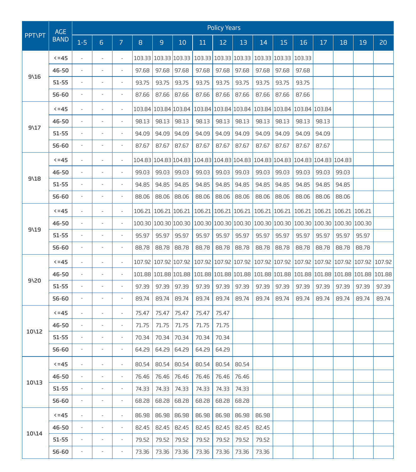|               | <b>AGE</b>  |                              |                          |                          |       |                      |                                                                                                                                                                                                                                                                                                        |       | <b>Policy Years</b>  |       |               |                                           |        |                                                                                         |        |        |       |
|---------------|-------------|------------------------------|--------------------------|--------------------------|-------|----------------------|--------------------------------------------------------------------------------------------------------------------------------------------------------------------------------------------------------------------------------------------------------------------------------------------------------|-------|----------------------|-------|---------------|-------------------------------------------|--------|-----------------------------------------------------------------------------------------|--------|--------|-------|
| <b>PPT\PT</b> | <b>BAND</b> | $1-5$                        | 6                        | $\overline{7}$           | 8     | $\mathsf g$          | 10                                                                                                                                                                                                                                                                                                     | 11    | 12                   | 13    | 14            | 15                                        | 16     | 17                                                                                      | 18     | 19     | 20    |
|               | $5 = 45$    | $\overline{\phantom{a}}$     | $\overline{\phantom{a}}$ | $\overline{\phantom{a}}$ |       | 103.33 103.33 103.33 |                                                                                                                                                                                                                                                                                                        |       |                      |       |               | 103.33 103.33 103.33 103.33 103.33 103.33 |        |                                                                                         |        |        |       |
|               | 46-50       |                              |                          | $\overline{\phantom{a}}$ | 97.68 | 97.68                | 97.68                                                                                                                                                                                                                                                                                                  | 97.68 | 97.68                | 97.68 | 97.68         | 97.68                                     | 97.68  |                                                                                         |        |        |       |
| 9\16          | $51 - 55$   | $\overline{\phantom{a}}$     | $\overline{\phantom{a}}$ | $\overline{\phantom{a}}$ | 93.75 | 93.75                | 93.75                                                                                                                                                                                                                                                                                                  | 93.75 | 93.75                | 93.75 | 93.75         | 93.75                                     | 93.75  |                                                                                         |        |        |       |
|               | 56-60       | ÷,                           | i.                       | $\overline{\phantom{a}}$ | 87.66 | 87.66                | 87.66                                                                                                                                                                                                                                                                                                  | 87.66 | 87.66                | 87.66 | 87.66         | 87.66                                     | 87.66  |                                                                                         |        |        |       |
|               | $5 = 45$    | $\frac{1}{2}$                | $\overline{\phantom{a}}$ | $\overline{\phantom{a}}$ |       | 103.84 103.84 103.84 |                                                                                                                                                                                                                                                                                                        |       | 103.84 103.84 103.84 |       |               | 103.84 103.84 103.84 103.84               |        |                                                                                         |        |        |       |
|               | 46-50       |                              |                          | $\overline{\phantom{a}}$ | 98.13 | 98.13                | 98.13                                                                                                                                                                                                                                                                                                  | 98.13 | 98.13                | 98.13 | 98.13         | 98.13                                     | 98.13  | 98.13                                                                                   |        |        |       |
| $9\17$        | $51 - 55$   | $\overline{\phantom{a}}$     | $\overline{\phantom{a}}$ | $\overline{\phantom{a}}$ | 94.09 | 94.09                | 94.09                                                                                                                                                                                                                                                                                                  | 94.09 | 94.09                | 94.09 | 94.09         | 94.09                                     | 94.09  | 94.09                                                                                   |        |        |       |
|               | 56-60       | $\qquad \qquad \blacksquare$ | $\overline{a}$           | $\overline{\phantom{a}}$ | 87.67 | 87.67                | 87.67                                                                                                                                                                                                                                                                                                  | 87.67 | 87.67                | 87.67 | 87.67         | 87.67                                     | 87.67  | 87.67                                                                                   |        |        |       |
|               | $5 = 45$    | ÷,                           | $\overline{\phantom{a}}$ | $\overline{\phantom{a}}$ |       | 104.83 104.83 104.83 |                                                                                                                                                                                                                                                                                                        |       |                      |       |               |                                           |        | 104.83 104.83 104.83 104.83 104.83 104.83 104.83 104.83                                 |        |        |       |
|               | 46-50       | $\overline{a}$               |                          | $\overline{\phantom{a}}$ | 99.03 | 99.03                | 99.03                                                                                                                                                                                                                                                                                                  | 99.03 | 99.03                | 99.03 | 99.03         | 99.03                                     | 99.03  | 99.03                                                                                   | 99.03  |        |       |
| $9\sqrt{18}$  | $51 - 55$   | $\overline{\phantom{a}}$     | $\overline{\phantom{a}}$ | $\overline{\phantom{a}}$ | 94.85 | 94.85                | 94.85                                                                                                                                                                                                                                                                                                  | 94.85 | 94.85                | 94.85 | 94.85         | 94.85                                     | 94.85  | 94.85                                                                                   | 94.85  |        |       |
|               | 56-60       | $\overline{\phantom{a}}$     | ÷,                       | $\overline{\phantom{a}}$ | 88.06 | 88.06                | 88.06                                                                                                                                                                                                                                                                                                  | 88.06 | 88.06                | 88.06 | 88.06         | 88.06                                     | 88.06  | 88.06                                                                                   | 88.06  |        |       |
|               | $5 = 45$    | $\overline{a}$               | ÷,                       | $\overline{\phantom{a}}$ |       | 106.21 106.21 106.21 |                                                                                                                                                                                                                                                                                                        |       | 106.21 106.21 106.21 |       | 106.21 106.21 |                                           | 106.21 | 106.21                                                                                  | 106.21 | 106.21 |       |
|               | 46-50       | $\overline{a}$               |                          | $\overline{\phantom{a}}$ |       |                      | 100.30 100.30 100.30                                                                                                                                                                                                                                                                                   |       |                      |       |               |                                           |        | 100.30 100.30 100.30 100.30 100.30 100.30 100.30 100.30 100.30                          |        |        |       |
| $9\19$        | $51 - 55$   | $\overline{\phantom{a}}$     | $\overline{\phantom{a}}$ | $\overline{\phantom{a}}$ | 95.97 | 95.97                | 95.97                                                                                                                                                                                                                                                                                                  | 95.97 | 95.97                | 95.97 | 95.97         | 95.97                                     | 95.97  | 95.97                                                                                   | 95.97  | 95.97  |       |
|               | 56-60       | $\frac{1}{2}$                | $\overline{a}$           | $\overline{\phantom{a}}$ | 88.78 | 88.78                | 88.78                                                                                                                                                                                                                                                                                                  | 88.78 | 88.78                | 88.78 | 88.78         | 88.78                                     | 88.78  | 88.78                                                                                   | 88.78  | 88.78  |       |
|               | $5 = 45$    | $\overline{\phantom{a}}$     | $\overline{\phantom{a}}$ | $\overline{\phantom{a}}$ |       | 107.92 107.92 107.92 |                                                                                                                                                                                                                                                                                                        |       |                      |       |               |                                           |        | 107.92   107.92   107.92   107.92   107.92   107.92   107.92   107.92   107.92   107.92 |        |        |       |
| $9\sqrt{20}$  | 46-50       | $\overline{a}$               |                          | $\overline{\phantom{a}}$ |       |                      | $101.88 \mid 101.88 \mid 101.88 \mid 101.88 \mid 101.88 \mid 101.88 \mid 101.88 \mid 101.88 \mid 101.88 \mid 101.88 \mid 101.88 \mid 101.88 \mid 101.88 \mid 101.88 \mid 101.88 \mid 101.88 \mid 101.88 \mid 101.88 \mid 101.88 \mid 101.88 \mid 101.88 \mid 101.88 \mid 101.88 \mid 101.88 \mid 101.$ |       |                      |       |               |                                           |        |                                                                                         |        |        |       |
|               | $51 - 55$   | $\overline{\phantom{a}}$     | $\overline{\phantom{a}}$ | $\overline{\phantom{a}}$ | 97.39 | 97.39                | 97.39                                                                                                                                                                                                                                                                                                  | 97.39 | 97.39                | 97.39 | 97.39         | 97.39                                     | 97.39  | 97.39                                                                                   | 97.39  | 97.39  | 97.39 |
|               | 56-60       | $\overline{a}$               | ÷,                       | $\overline{\phantom{a}}$ | 89.74 | 89.74                | 89.74                                                                                                                                                                                                                                                                                                  | 89.74 | 89.74                | 89.74 | 89.74         | 89.74                                     | 89.74  | 89.74                                                                                   | 89.74  | 89.74  | 89.74 |
|               | $5 = 45$    | $\overline{\phantom{a}}$     | $\overline{\phantom{a}}$ | $\overline{\phantom{a}}$ | 75.47 | 75.47                | 75.47                                                                                                                                                                                                                                                                                                  | 75.47 | 75.47                |       |               |                                           |        |                                                                                         |        |        |       |
| 10\12         | 46-50       | ÷,                           | $\overline{a}$           | $\overline{\phantom{a}}$ | 71.75 | 71.75                | 71.75                                                                                                                                                                                                                                                                                                  | 71.75 | 71.75                |       |               |                                           |        |                                                                                         |        |        |       |
|               | $51 - 55$   | $\overline{\phantom{a}}$     | $\overline{\phantom{a}}$ | $\overline{\phantom{a}}$ | 70.34 | 70.34                | 70.34                                                                                                                                                                                                                                                                                                  | 70.34 | 70.34                |       |               |                                           |        |                                                                                         |        |        |       |
|               | 56-60       | $\overline{a}$               |                          |                          | 64.29 | 64.29                | 64.29                                                                                                                                                                                                                                                                                                  | 64.29 | 64.29                |       |               |                                           |        |                                                                                         |        |        |       |
|               | $5 - 45$    |                              |                          |                          | 80.54 | 80.54                | 80.54                                                                                                                                                                                                                                                                                                  | 80.54 | 80.54                | 80.54 |               |                                           |        |                                                                                         |        |        |       |
| 10\13         | 46-50       | $\overline{a}$               | $\overline{a}$           | $\overline{\phantom{a}}$ | 76.46 |                      | 76.46 76.46                                                                                                                                                                                                                                                                                            | 76.46 | 76.46                | 76.46 |               |                                           |        |                                                                                         |        |        |       |
|               | $51 - 55$   | $\frac{1}{2}$                | ÷,                       | $\overline{\phantom{a}}$ | 74.33 | 74.33                | 74.33                                                                                                                                                                                                                                                                                                  | 74.33 | 74.33                | 74.33 |               |                                           |        |                                                                                         |        |        |       |
|               | 56-60       | $\overline{\phantom{a}}$     | $\overline{\phantom{a}}$ | $\overline{\phantom{a}}$ | 68.28 | 68.28                | 68.28                                                                                                                                                                                                                                                                                                  | 68.28 | 68.28                | 68.28 |               |                                           |        |                                                                                         |        |        |       |
|               | $5 = 45$    | $\overline{\phantom{a}}$     | $\overline{\phantom{a}}$ | $\overline{\phantom{a}}$ | 86.98 | 86.98                | 86.98                                                                                                                                                                                                                                                                                                  | 86.98 | 86.98                | 86.98 | 86.98         |                                           |        |                                                                                         |        |        |       |
| 10\14         | 46-50       | $\overline{\phantom{a}}$     | $\overline{\phantom{a}}$ | $\overline{\phantom{a}}$ | 82.45 | 82.45                | 82.45                                                                                                                                                                                                                                                                                                  | 82.45 | 82.45                | 82.45 | 82.45         |                                           |        |                                                                                         |        |        |       |
|               | $51 - 55$   | $\overline{\phantom{a}}$     | $\overline{\phantom{a}}$ | $\overline{\phantom{a}}$ | 79.52 | 79.52                | 79.52                                                                                                                                                                                                                                                                                                  | 79.52 | 79.52                | 79.52 | 79.52         |                                           |        |                                                                                         |        |        |       |
|               | 56-60       | $\sim$                       | $\overline{\phantom{a}}$ | $\overline{\phantom{a}}$ | 73.36 | 73.36                | 73.36                                                                                                                                                                                                                                                                                                  | 73.36 | 73.36                | 73.36 | 73.36         |                                           |        |                                                                                         |        |        |       |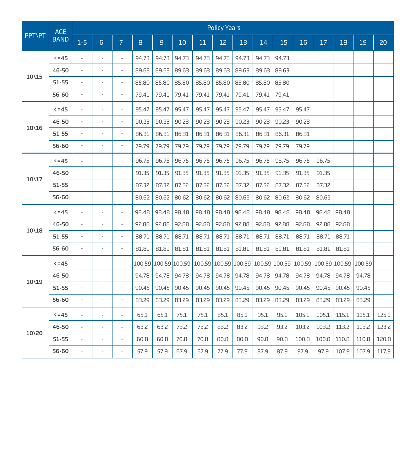|               | <b>AGE</b>  |                          |                          |                          |       |                      |       |        | <b>Policy Years</b> |        |        |        |        |       |                      |       |       |
|---------------|-------------|--------------------------|--------------------------|--------------------------|-------|----------------------|-------|--------|---------------------|--------|--------|--------|--------|-------|----------------------|-------|-------|
| <b>PPT\PT</b> | <b>BAND</b> | $1 - 5$                  | 6                        | $\overline{7}$           | 8     | 9                    | 10    | 11     | 12                  | 13     | 14     | 15     | 16     | 17    | 18                   | 19    | 20    |
|               | $5 = 45$    | $\overline{a}$           | ÷,                       | ÷,                       | 94.73 | 94.73                | 94.73 | 94.73  | 94.73               | 94.73  | 94.73  | 94.73  |        |       |                      |       |       |
|               | 46-50       | $\overline{a}$           | ÷,                       | ÷,                       | 89.63 | 89.63                | 89.63 | 89.63  | 89.63               | 89.63  | 89.63  | 89.63  |        |       |                      |       |       |
| 10\15         | $51 - 55$   | $\overline{a}$           | ÷,                       | $\overline{a}$           | 85.80 | 85.80                | 85.80 | 85.80  | 85.80               | 85.80  | 85.80  | 85.80  |        |       |                      |       |       |
|               | 56-60       | $\overline{a}$           | $\overline{\phantom{a}}$ | $\overline{\phantom{a}}$ | 79.41 | 79.41                | 79.41 | 79.41  | 79.41               | 79.41  | 79.41  | 79.41  |        |       |                      |       |       |
|               | $5 = 45$    | $\overline{a}$           | $\overline{\phantom{a}}$ | $\overline{a}$           | 95.47 | 95.47                | 95.47 | 95.47  | 95.47               | 95.47  | 95.47  | 95.47  | 95.47  |       |                      |       |       |
|               | 46-50       | $\overline{a}$           | ÷,                       | $\overline{a}$           | 90.23 | 90.23                | 90.23 | 90.23  | 90.23               | 90.23  | 90.23  | 90.23  | 90.23  |       |                      |       |       |
| 10\16         | $51 - 55$   | $\overline{a}$           | $\overline{a}$           | $\overline{a}$           | 86.31 | 86.31                | 86.31 | 86.31  | 86.31               | 86.31  | 86.31  | 86.31  | 86.31  |       |                      |       |       |
|               | 56-60       | $\centerdot$             | $\overline{\phantom{a}}$ | $\overline{a}$           | 79.79 | 79.79                | 79.79 | 79.79  | 79.79               | 79.79  | 79.79  | 79.79  | 79.79  |       |                      |       |       |
|               | $5 = 45$    | ÷,                       | $\overline{a}$           | $\frac{1}{2}$            | 96.75 | 96.75                | 96.75 | 96.75  | 96.75               | 96.75  | 96.75  | 96.75  | 96.75  | 96.75 |                      |       |       |
| 10\17         | 46-50       |                          |                          | $\overline{a}$           | 91.35 | 91.35                | 91.35 | 91.35  | 91.35               | 91.35  | 91.35  | 91.35  | 91.35  | 91.35 |                      |       |       |
|               | $51 - 55$   | $\bar{\phantom{a}}$      | $\overline{\phantom{a}}$ | $\overline{a}$           | 87.32 | 87.32                | 87.32 | 87.32  | 87.32               | 87.32  | 87.32  | 87.32  | 87.32  | 87.32 |                      |       |       |
|               | 56-60       | $\overline{a}$           | $\overline{a}$           | $\overline{a}$           | 80.62 | 80.62                | 80.62 | 80.62  | 80.62               | 80.62  | 80.62  | 80.62  | 80.62  | 80.62 |                      |       |       |
|               | $5 = 45$    | $\overline{\phantom{a}}$ | ÷,                       | $\overline{a}$           | 98.48 | 98.48                | 98.48 | 98.48  | 98.48               | 98.48  | 98.48  | 98.48  | 98.48  | 98.48 | 98.48                |       |       |
| 10\18         | 46-50       | $\overline{a}$           | $\overline{a}$           | $\overline{a}$           | 92.88 | 92.88                | 92.88 | 92.88  | 92.88               | 92.88  | 92.88  | 92.88  | 92.88  | 92.88 | 92.88                |       |       |
|               | $51 - 55$   | $\overline{a}$           | ÷,                       | $\frac{1}{2}$            | 88.71 | 88.71                | 88.71 | 88.71  | 88.71               | 88.71  | 88.71  | 88.71  | 88.71  | 88.71 | 88.71                |       |       |
|               | 56-60       | $\overline{a}$           | $\overline{\phantom{a}}$ | ÷,                       | 81.81 | 81.81                | 81.81 | 81.81  | 81.81               | 81.81  | 81.81  | 81.81  | 81.81  | 81.81 | 81.81                |       |       |
|               | $5 = 45$    | $\overline{a}$           | $\overline{a}$           | $\overline{a}$           |       | 100.59 100.59 100.59 |       | 100.59 | 100.59              | 100.59 | 100.59 | 100.59 | 100.59 |       | 100.59 100.59 100.59 |       |       |
| 10\19         | 46-50       | $\overline{a}$           | $\overline{\phantom{a}}$ | $\overline{a}$           | 94.78 | 94.78                | 94.78 | 94.78  | 94.78               | 94.78  | 94.78  | 94.78  | 94.78  | 94.78 | 94.78                | 94.78 |       |
|               | $51 - 55$   | $\frac{1}{2}$            | ÷,                       | $\overline{\phantom{a}}$ | 90.45 | 90.45                | 90.45 | 90.45  | 90.45               | 90.45  | 90.45  | 90.45  | 90.45  | 90.45 | 90.45                | 90.45 |       |
|               | 56-60       | $\overline{\phantom{a}}$ | ÷,                       | ÷,                       | 83.29 | 83.29                | 83.29 | 83.29  | 83.29               | 83.29  | 83.29  | 83.29  | 83.29  | 83.29 | 83.29                | 83.29 |       |
|               | $5 - 45$    | ÷,                       | $\overline{\phantom{a}}$ | ÷,                       | 65.1  | 65.1                 | 75.1  | 75.1   | 85.1                | 85.1   | 95.1   | 95.1   | 105.1  | 105.1 | 115.1                | 115.1 | 125.1 |
| 10\20         | 46-50       | ÷,                       | $\overline{a}$           | $\overline{a}$           | 63.2  | 63.2                 | 73.2  | 73.2   | 83.2                | 83.2   | 93.2   | 93.2   | 103.2  | 103.2 | 113.2                | 113.2 | 123.2 |
|               | $51 - 55$   | $\overline{a}$           | ÷,                       | $\overline{a}$           | 60.8  | 60.8                 | 70.8  | 70.8   | 80.8                | 80.8   | 90.8   | 90.8   | 100.8  | 100.8 | 110.8                | 110.8 | 120.8 |
|               | 56-60       | $\overline{a}$           | ÷,                       | ÷,                       | 57.9  | 57.9                 | 67.9  | 67.9   | 77.9                | 77.9   | 87.9   | 87.9   | 97.9   | 97.9  | 107.9                | 107.9 | 117.9 |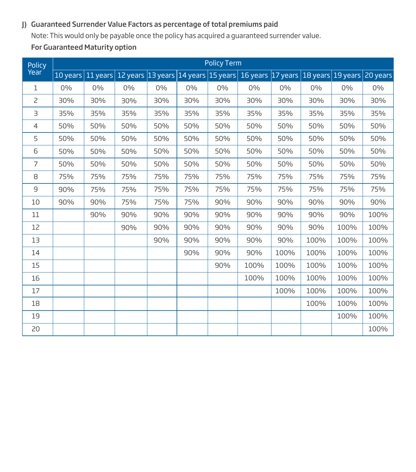# J) Guaranteed Surrender Value Factors as percentage of total premiums paid

 Note: This would only be payable once the policy has acquired a guaranteed surrender value. For Guaranteed Maturity option

| Policy<br>Year |                   |       |       |       |       | <b>Policy Term</b> |                                                                                      |       |       |       |          |
|----------------|-------------------|-------|-------|-------|-------|--------------------|--------------------------------------------------------------------------------------|-------|-------|-------|----------|
|                | 10 years 11 years |       |       |       |       |                    | 12 years  13 years   14 years   15 years   16 years   17 years   18 years   19 years |       |       |       | 20 years |
| 1              | 0%                | $0\%$ | $0\%$ | $0\%$ | $0\%$ | $0\%$              | 0%                                                                                   | $0\%$ | $0\%$ | $0\%$ | $0\%$    |
| 2              | 30%               | 30%   | 30%   | 30%   | 30%   | 30%                | 30%                                                                                  | 30%   | 30%   | 30%   | 30%      |
| З              | 35%               | 35%   | 35%   | 35%   | 35%   | 35%                | 35%                                                                                  | 35%   | 35%   | 35%   | 35%      |
| 4              | 50%               | 50%   | 50%   | 50%   | 50%   | 50%                | 50%                                                                                  | 50%   | 50%   | 50%   | 50%      |
| 5              | 50%               | 50%   | 50%   | 50%   | 50%   | 50%                | 50%                                                                                  | 50%   | 50%   | 50%   | 50%      |
| 6              | 50%               | 50%   | 50%   | 50%   | 50%   | 50%                | 50%                                                                                  | 50%   | 50%   | 50%   | 50%      |
| $\overline{7}$ | 50%               | 50%   | 50%   | 50%   | 50%   | 50%                | 50%                                                                                  | 50%   | 50%   | 50%   | 50%      |
| 8              | 75%               | 75%   | 75%   | 75%   | 75%   | 75%                | 75%                                                                                  | 75%   | 75%   | 75%   | 75%      |
| $\mathsf{G}$   | 90%               | 75%   | 75%   | 75%   | 75%   | 75%                | 75%                                                                                  | 75%   | 75%   | 75%   | 75%      |
| 10             | 90%               | 90%   | 75%   | 75%   | 75%   | 90%                | 90%                                                                                  | 90%   | 90%   | 90%   | 90%      |
| 11             |                   | 90%   | 90%   | 90%   | 90%   | 90%                | 90%                                                                                  | 90%   | 90%   | 90%   | 100%     |
| 12             |                   |       | 90%   | 90%   | 90%   | 90%                | 90%                                                                                  | 90%   | 90%   | 100%  | 100%     |
| 13             |                   |       |       | 90%   | 90%   | 90%                | 90%                                                                                  | 90%   | 100%  | 100%  | 100%     |
| 14             |                   |       |       |       | 90%   | 90%                | 90%                                                                                  | 100%  | 100%  | 100%  | 100%     |
| 15             |                   |       |       |       |       | 90%                | 100%                                                                                 | 100%  | 100%  | 100%  | 100%     |
| 16             |                   |       |       |       |       |                    | 100%                                                                                 | 100%  | 100%  | 100%  | 100%     |
| 17             |                   |       |       |       |       |                    |                                                                                      | 100%  | 100%  | 100%  | 100%     |
| 18             |                   |       |       |       |       |                    |                                                                                      |       | 100%  | 100%  | 100%     |
| 19             |                   |       |       |       |       |                    |                                                                                      |       |       | 100%  | 100%     |
| 20             |                   |       |       |       |       |                    |                                                                                      |       |       |       | 100%     |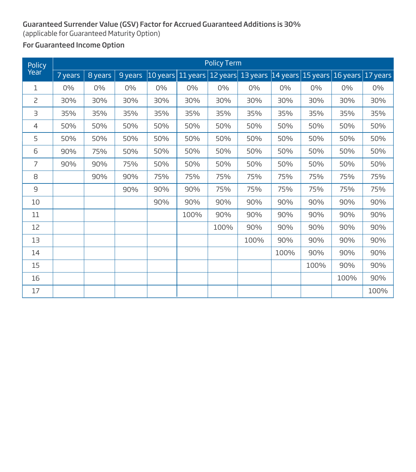# Guaranteed Surrender Value (GSV) Factor for Accrued Guaranteed Additions is 30%

(applicable for Guaranteed Maturity Option)

# For Guaranteed Income Option

| Policy         |         |         |         |            |      | <b>Policy Term</b> |                                                                |       |       |      |       |
|----------------|---------|---------|---------|------------|------|--------------------|----------------------------------------------------------------|-------|-------|------|-------|
| Year           | 7 years | 8 years | 9 years | $10$ years |      |                    | 11 years 12 years 13 years 14 years 15 years 16 years 17 years |       |       |      |       |
| $\mathbf{1}$   | $0\%$   | $0\%$   | $0\%$   | $0\%$      | 0%   | $0\%$              | $0\%$                                                          | $0\%$ | $0\%$ | 0%   | $0\%$ |
| $\overline{c}$ | 30%     | 30%     | 30%     | 30%        | 30%  | 30%                | 30%                                                            | 30%   | 30%   | 30%  | 30%   |
| З              | 35%     | 35%     | 35%     | 35%        | 35%  | 35%                | 35%                                                            | 35%   | 35%   | 35%  | 35%   |
| $\overline{4}$ | 50%     | 50%     | 50%     | 50%        | 50%  | 50%                | 50%                                                            | 50%   | 50%   | 50%  | 50%   |
| 5              | 50%     | 50%     | 50%     | 50%        | 50%  | 50%                | 50%                                                            | 50%   | 50%   | 50%  | 50%   |
| 6              | 90%     | 75%     | 50%     | 50%        | 50%  | 50%                | 50%                                                            | 50%   | 50%   | 50%  | 50%   |
| $\overline{7}$ | 90%     | 90%     | 75%     | 50%        | 50%  | 50%                | 50%                                                            | 50%   | 50%   | 50%  | 50%   |
| 8              |         | 90%     | 90%     | 75%        | 75%  | 75%                | 75%                                                            | 75%   | 75%   | 75%  | 75%   |
| 9              |         |         | 90%     | 90%        | 90%  | 75%                | 75%                                                            | 75%   | 75%   | 75%  | 75%   |
| 10             |         |         |         | 90%        | 90%  | 90%                | 90%                                                            | 90%   | 90%   | 90%  | 90%   |
| 11             |         |         |         |            | 100% | 90%                | 90%                                                            | 90%   | 90%   | 90%  | 90%   |
| 12             |         |         |         |            |      | 100%               | 90%                                                            | 90%   | 90%   | 90%  | 90%   |
| 13             |         |         |         |            |      |                    | 100%                                                           | 90%   | 90%   | 90%  | 90%   |
| 14             |         |         |         |            |      |                    |                                                                | 100%  | 90%   | 90%  | 90%   |
| 15             |         |         |         |            |      |                    |                                                                |       | 100%  | 90%  | 90%   |
| 16             |         |         |         |            |      |                    |                                                                |       |       | 100% | 90%   |
| 17             |         |         |         |            |      |                    |                                                                |       |       |      | 100%  |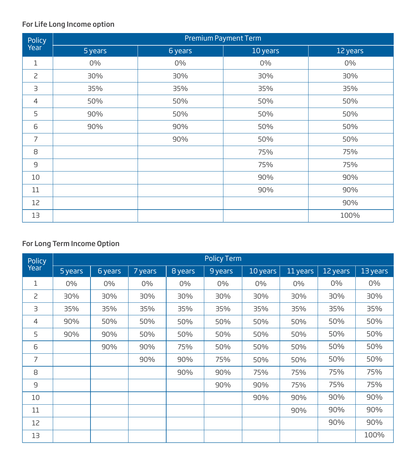# For Life Long Income option

| Policy<br>Year | Premium Payment Term |         |          |          |  |  |  |  |  |
|----------------|----------------------|---------|----------|----------|--|--|--|--|--|
|                | 5 years              | 6 years | 10 years | 12 years |  |  |  |  |  |
| $\mathbf{1}$   | 0%                   | $0\%$   | 0%       | 0%       |  |  |  |  |  |
| $\overline{c}$ | 30%                  | 30%     | 30%      | 30%      |  |  |  |  |  |
| З              | 35%                  | 35%     | 35%      | 35%      |  |  |  |  |  |
| 4              | 50%                  | 50%     | 50%      | 50%      |  |  |  |  |  |
| 5              | 90%                  | 50%     | 50%      | 50%      |  |  |  |  |  |
| 6              | 90%                  | 90%     | 50%      | 50%      |  |  |  |  |  |
| $\overline{7}$ |                      | 90%     | 50%      | 50%      |  |  |  |  |  |
| 8              |                      |         | 75%      | 75%      |  |  |  |  |  |
| $\overline{9}$ |                      |         | 75%      | 75%      |  |  |  |  |  |
| 10             |                      |         | 90%      | 90%      |  |  |  |  |  |
| 11             |                      |         | 90%      | 90%      |  |  |  |  |  |
| 12             |                      |         |          | 90%      |  |  |  |  |  |
| 13             |                      |         |          | 100%     |  |  |  |  |  |

# For Long Term Income Option

| Policy<br>Year | <b>Policy Term</b> |         |         |         |         |          |          |          |          |  |
|----------------|--------------------|---------|---------|---------|---------|----------|----------|----------|----------|--|
|                | 5 years            | 6 years | 7 years | 8 years | 9 years | 10 years | 11 years | 12 years | 13 years |  |
| 1              | 0%                 | 0%      | $0\%$   | 0%      | $0\%$   | 0%       | $0\%$    | $0\%$    | $0\%$    |  |
| $\overline{c}$ | 30%                | 30%     | 30%     | 30%     | 30%     | 30%      | 30%      | 30%      | 30%      |  |
| З              | 35%                | 35%     | 35%     | 35%     | 35%     | 35%      | 35%      | 35%      | 35%      |  |
| $\overline{4}$ | 90%                | 50%     | 50%     | 50%     | 50%     | 50%      | 50%      | 50%      | 50%      |  |
| 5              | 90%                | 90%     | 50%     | 50%     | 50%     | 50%      | 50%      | 50%      | 50%      |  |
| 6              |                    | 90%     | 90%     | 75%     | 50%     | 50%      | 50%      | 50%      | 50%      |  |
| 7              |                    |         | 90%     | 90%     | 75%     | 50%      | 50%      | 50%      | 50%      |  |
| 8              |                    |         |         | 90%     | 90%     | 75%      | 75%      | 75%      | 75%      |  |
| $\overline{9}$ |                    |         |         |         | 90%     | 90%      | 75%      | 75%      | 75%      |  |
| 10             |                    |         |         |         |         | 90%      | 90%      | 90%      | 90%      |  |
| 11             |                    |         |         |         |         |          | 90%      | 90%      | 90%      |  |
| 12             |                    |         |         |         |         |          |          | 90%      | 90%      |  |
| 13             |                    |         |         |         |         |          |          |          | 100%     |  |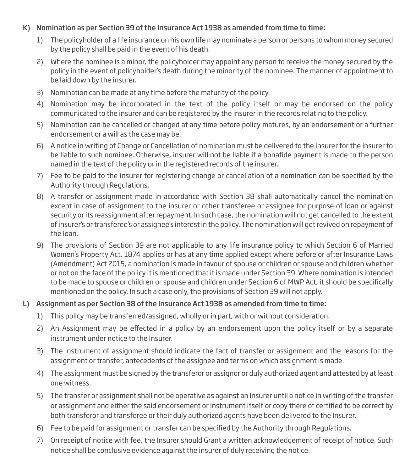# K) Nomination as per Section 39 of the Insurance Act 1938 as amended from time to time:

- 1) The policyholder of a life insurance on his own life may nominate a person or persons to whom money secured by the policy shall be paid in the event of his death.
- 2) Where the nominee is a minor, the policyholder may appoint any person to receive the money secured by the policy in the event of policyholder's death during the minority of the nominee. The manner of appointment to be laid down by the insurer.
- 3) Nomination can be made at any time before the maturity of the policy.
- 4) Nomination may be incorporated in the text of the policy itself or may be endorsed on the policy communicated to the insurer and can be registered by the insurer in the records relating to the policy.
- 5) Nomination can be cancelled or changed at any time before policy matures, by an endorsement or a further endorsement or a will as the case may be.
- 6) A notice in writing of Change or Cancellation of nomination must be delivered to the insurer for the insurer to be liable to such nominee. Otherwise, insurer will not be liable if a bonafide payment is made to the person named in the text of the policy or in the registered records of the insurer.
- 7) Fee to be paid to the insurer for registering change or cancellation of a nomination can be specified by the Authority through Regulations.
- 8) A transfer or assignment made in accordance with Section 38 shall automatically cancel the nomination except in case of assignment to the insurer or other transferee or assignee for purpose of loan or against security or its reassignment after repayment. In such case, the nomination will not get cancelled to the extent of insurer's or transferee's or assignee's interest in the policy. The nomination will get revived on repayment of the loan.
- 9) The provisions of Section 39 are not applicable to any life insurance policy to which Section 6 of Married Women's Property Act, 1874 applies or has at any time applied except where before or after Insurance Laws (Amendment) Act 2015, a nomination is made in favour of spouse or children or spouse and children whether or not on the face of the policy it is mentioned that it is made under Section 39. Where nomination is intended to be made to spouse or children or spouse and children under Section 6 of MWP Act, it should be specifically mentioned on the policy. In such a case only, the provisions of Section 39 will not apply.

# L) Assignment as per Section 38 of the Insurance Act 1938 as amended from time to time:

- 1) This policy may be transferred/assigned, wholly or in part, with or without consideration.
- 2) An Assignment may be effected in a policy by an endorsement upon the policy itself or by a separate instrument under notice to the Insurer.
- 3) The instrument of assignment should indicate the fact of transfer or assignment and the reasons for the assignment or transfer, antecedents of the assignee and terms on which assignment is made.
- 4) The assignment must be signed by the transferor or assignor or duly authorized agent and attested by at least one witness.
- 5) The transfer or assignment shall not be operative as against an Insurer until a notice in writing of the transfer or assignment and either the said endorsement or instrument itself or copy there of certified to be correct by both transferor and transferee or their duly authorized agents have been delivered to the Insurer.
- 6) Fee to be paid for assignment or transfer can be specified by the Authority through Regulations.
- 7) On receipt of notice with fee, the Insurer should Grant a written acknowledgement of receipt of notice. Such notice shall be conclusive evidence against the insurer of duly receiving the notice.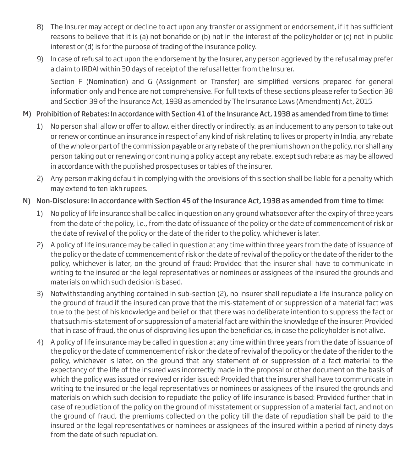- 8) The Insurer may accept or decline to act upon any transfer or assignment or endorsement, if it has sufficient reasons to believe that it is (a) not bonafide or (b) not in the interest of the policyholder or (c) not in public interest or (d) is for the purpose of trading of the insurance policy.
- 9) In case of refusal to act upon the endorsement by the Insurer, any person aggrieved by the refusal may prefer a claim to IRDAI within 30 days of receipt of the refusal letter from the Insurer.

Section F (Nomination) and G (Assignment or Transfer) are simplified versions prepared for general information only and hence are not comprehensive. For full texts of these sections please refer to Section 38 and Section 39 of the Insurance Act, 1938 as amended by The Insurance Laws (Amendment) Act, 2015.

# M) Prohibition of Rebates: In accordance with Section 41 of the Insurance Act, 1938 as amended from time to time:

- 1) No person shall allow or offer to allow, either directly or indirectly, as an inducement to any person to take out or renew or continue an insurance in respect of any kind of risk relating to lives or property in India, any rebate of the whole or part of the commission payable or any rebate of the premium shown on the policy, nor shall any person taking out or renewing or continuing a policy accept any rebate, except such rebate as may be allowed in accordance with the published prospectuses or tables of the insurer.
- 2) Any person making default in complying with the provisions of this section shall be liable for a penalty which may extend to ten lakh rupees.

# N) Non-Disclosure: In accordance with Section 45 of the Insurance Act, 1938 as amended from time to time:

- 1) No policy of life insurance shall be called in question on any ground whatsoever after the expiry of three years from the date of the policy, i.e., from the date of issuance of the policy or the date of commencement of risk or the date of revival of the policy or the date of the rider to the policy, whichever is later.
- 2) A policy of life insurance may be called in question at any time within three years from the date of issuance of the policy or the date of commencement of risk or the date of revival of the policy or the date of the rider to the policy, whichever is later, on the ground of fraud: Provided that the insurer shall have to communicate in writing to the insured or the legal representatives or nominees or assignees of the insured the grounds and materials on which such decision is based.
- 3) Notwithstanding anything contained in sub-section (2), no insurer shall repudiate a life insurance policy on the ground of fraud if the insured can prove that the mis-statement of or suppression of a material fact was true to the best of his knowledge and belief or that there was no deliberate intention to suppress the fact or that such mis-statement of or suppression of a material fact are within the knowledge of the insurer: Provided that in case of fraud, the onus of disproving lies upon the beneficiaries, in case the policyholder is not alive.
- 4) A policy of life insurance may be called in question at any time within three years from the date of issuance of the policy or the date of commencement of risk or the date of revival of the policy or the date of the rider to the policy, whichever is later, on the ground that any statement of or suppression of a fact material to the expectancy of the life of the insured was incorrectly made in the proposal or other document on the basis of which the policy was issued or revived or rider issued: Provided that the insurer shall have to communicate in writing to the insured or the legal representatives or nominees or assignees of the insured the grounds and materials on which such decision to repudiate the policy of life insurance is based: Provided further that in case of repudiation of the policy on the ground of misstatement or suppression of a material fact, and not on the ground of fraud, the premiums collected on the policy till the date of repudiation shall be paid to the insured or the legal representatives or nominees or assignees of the insured within a period of ninety days from the date of such repudiation.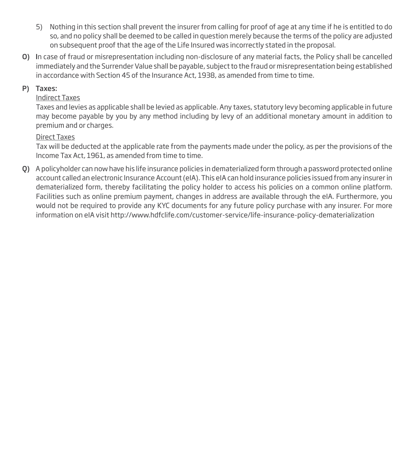- 5) Nothing in this section shall prevent the insurer from calling for proof of age at any time if he is entitled to do so, and no policy shall be deemed to be called in question merely because the terms of the policy are adjusted on subsequent proof that the age of the Life Insured was incorrectly stated in the proposal.
- O) In case of fraud or misrepresentation including non-disclosure of any material facts, the Policy shall be cancelled immediately and the Surrender Value shall be payable, subject to the fraud or misrepresentation being established in accordance with Section 45 of the Insurance Act, 1938, as amended from time to time.

# P) Taxes:

# Indirect Taxes

Taxes and levies as applicable shall be levied as applicable. Any taxes, statutory levy becoming applicable in future may become payable by you by any method including by levy of an additional monetary amount in addition to premium and or charges.

# Direct Taxes

Tax will be deducted at the applicable rate from the payments made under the policy, as per the provisions of the Income Tax Act, 1961, as amended from time to time.

Q) A policyholder can now have his life insurance policies in dematerialized form through a password protected online account called an electronic Insurance Account (eIA). This eIA can hold insurance policies issued from any insurer in dematerialized form, thereby facilitating the policy holder to access his policies on a common online platform. Facilities such as online premium payment, changes in address are available through the eIA. Furthermore, you would not be required to provide any KYC documents for any future policy purchase with any insurer. For more information on eIA visit http://www.hdfclife.com/customer-service/life-insurance-policy-dematerialization